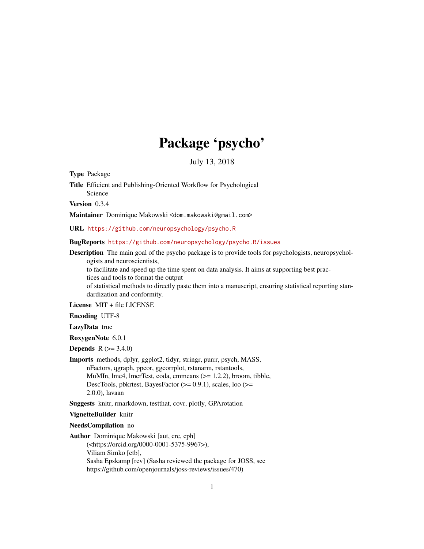# Package 'psycho'

July 13, 2018

<span id="page-0-0"></span>Type Package

Title Efficient and Publishing-Oriented Workflow for Psychological Science

Version 0.3.4

Maintainer Dominique Makowski <dom.makowski@gmail.com>

URL <https://github.com/neuropsychology/psycho.R>

BugReports <https://github.com/neuropsychology/psycho.R/issues>

Description The main goal of the psycho package is to provide tools for psychologists, neuropsychologists and neuroscientists,

to facilitate and speed up the time spent on data analysis. It aims at supporting best practices and tools to format the output

of statistical methods to directly paste them into a manuscript, ensuring statistical reporting standardization and conformity.

License MIT + file LICENSE

Encoding UTF-8

LazyData true

RoxygenNote 6.0.1

**Depends** R  $(>= 3.4.0)$ 

Imports methods, dplyr, ggplot2, tidyr, stringr, purrr, psych, MASS, nFactors, qgraph, ppcor, ggcorrplot, rstanarm, rstantools, MuMIn, lme4, lmerTest, coda, emmeans (>= 1.2.2), broom, tibble, DescTools, pbkrtest, BayesFactor (>= 0.9.1), scales, loo (>= 2.0.0), lavaan

Suggests knitr, rmarkdown, testthat, covr, plotly, GPArotation

VignetteBuilder knitr

NeedsCompilation no

Author Dominique Makowski [aut, cre, cph]

(<https://orcid.org/0000-0001-5375-9967>), Viliam Simko [ctb], Sasha Epskamp [rev] (Sasha reviewed the package for JOSS, see https://github.com/openjournals/joss-reviews/issues/470)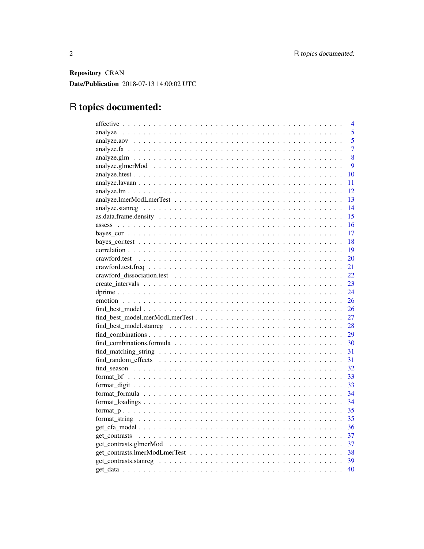Repository CRAN Date/Publication 2018-07-13 14:00:02 UTC

## R topics documented: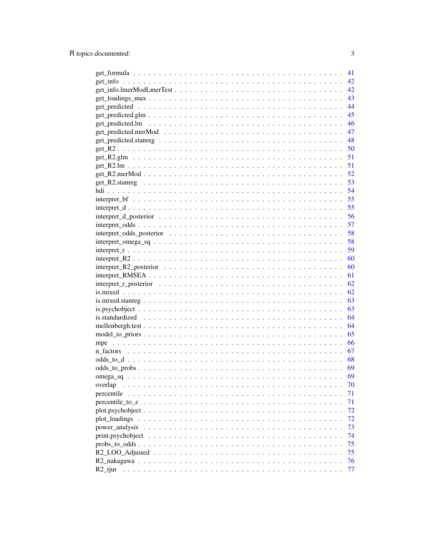|                                                                                                                                                 | 41 |
|-------------------------------------------------------------------------------------------------------------------------------------------------|----|
|                                                                                                                                                 | 42 |
|                                                                                                                                                 | 42 |
|                                                                                                                                                 | 43 |
|                                                                                                                                                 | 44 |
|                                                                                                                                                 | 45 |
|                                                                                                                                                 | 46 |
|                                                                                                                                                 | 47 |
|                                                                                                                                                 | 48 |
|                                                                                                                                                 | 50 |
|                                                                                                                                                 | 51 |
|                                                                                                                                                 | 51 |
|                                                                                                                                                 | 52 |
|                                                                                                                                                 |    |
|                                                                                                                                                 | 54 |
| $interpret_b$ $f$ $\ldots$ $\ldots$ $\ldots$ $\ldots$ $\ldots$ $\ldots$ $\ldots$ $\ldots$ $\ldots$ $\ldots$ $\ldots$ $\ldots$ $\ldots$ $\ldots$ | 55 |
|                                                                                                                                                 | 55 |
|                                                                                                                                                 | 56 |
|                                                                                                                                                 | 57 |
|                                                                                                                                                 | 58 |
|                                                                                                                                                 | 58 |
|                                                                                                                                                 | 59 |
|                                                                                                                                                 | 60 |
|                                                                                                                                                 | 60 |
|                                                                                                                                                 | 61 |
|                                                                                                                                                 | 62 |
|                                                                                                                                                 | 62 |
|                                                                                                                                                 | 63 |
|                                                                                                                                                 | 63 |
|                                                                                                                                                 | 64 |
|                                                                                                                                                 | 64 |
|                                                                                                                                                 | 65 |
|                                                                                                                                                 | 66 |
|                                                                                                                                                 | 67 |
|                                                                                                                                                 |    |
|                                                                                                                                                 | 69 |
|                                                                                                                                                 | 69 |
| overlap                                                                                                                                         | 70 |
| percentile                                                                                                                                      | 71 |
| percentile_to_z                                                                                                                                 | 71 |
|                                                                                                                                                 | 72 |
| plot loadings                                                                                                                                   | 72 |
| power_analysis                                                                                                                                  | 73 |
| print.psychobject                                                                                                                               | 74 |
|                                                                                                                                                 | 75 |
|                                                                                                                                                 | 75 |
|                                                                                                                                                 | 76 |
|                                                                                                                                                 | 77 |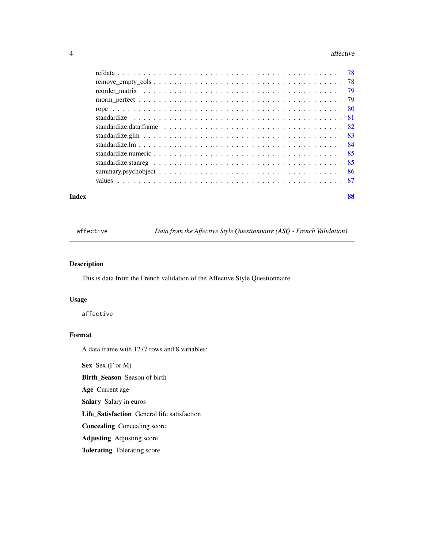#### <span id="page-3-0"></span>4 affective

| Index | 88 |
|-------|----|

affective *Data from the Affective Style Questionnaire (ASQ - French Validation)*

### Description

This is data from the French validation of the Affective Style Questionnaire.

#### Usage

affective

### Format

A data frame with 1277 rows and 8 variables:

Sex Sex (F or M)

Birth\_Season Season of birth

Age Current age

Salary Salary in euros

Life\_Satisfaction General life satisfaction

Concealing Concealing score

Adjusting Adjusting score

Tolerating Tolerating score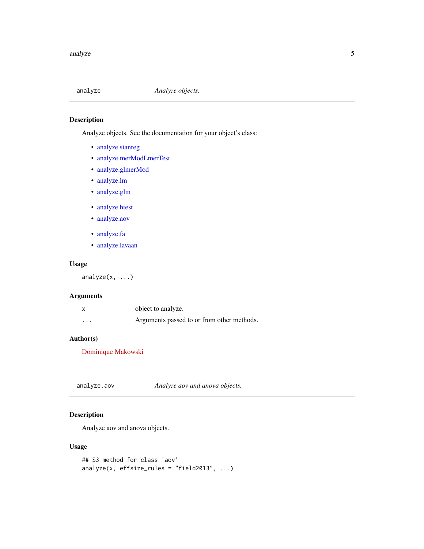<span id="page-4-0"></span>

### Description

Analyze objects. See the documentation for your object's class:

- [analyze.stanreg](#page-13-1)
- [analyze.merModLmerTest](#page-12-1)
- [analyze.glmerMod](#page-8-1)
- [analyze.lm](#page-11-1)
- [analyze.glm](#page-11-1)
- [analyze.htest](#page-9-1)
- [analyze.aov](#page-4-1)
- [analyze.fa](#page-6-1)
- [analyze.lavaan](#page-6-1)

### Usage

analyze(x, ...)

### Arguments

|          | object to analyze.                         |
|----------|--------------------------------------------|
| $\cdots$ | Arguments passed to or from other methods. |

### Author(s)

[Dominique Makowski](https://dominiquemakowski.github.io/)

<span id="page-4-1"></span>analyze.aov *Analyze aov and anova objects.*

### Description

Analyze aov and anova objects.

### Usage

```
## S3 method for class 'aov'
analyze(x, effsize_rules = "field2013", ...)
```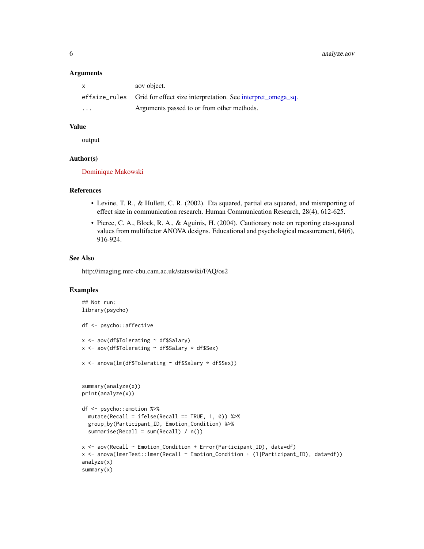6 analyze.aov

#### **Arguments**

| $\mathsf{X}$            | aov object.                                                                |
|-------------------------|----------------------------------------------------------------------------|
|                         | effsize_rules Grid for effect size interpretation. See interpret_omega_sq. |
| $\cdot$ $\cdot$ $\cdot$ | Arguments passed to or from other methods.                                 |

### Value

output

### Author(s)

[Dominique Makowski](https://dominiquemakowski.github.io/)

#### References

- Levine, T. R., & Hullett, C. R. (2002). Eta squared, partial eta squared, and misreporting of effect size in communication research. Human Communication Research, 28(4), 612-625.
- Pierce, C. A., Block, R. A., & Aguinis, H. (2004). Cautionary note on reporting eta-squared values from multifactor ANOVA designs. Educational and psychological measurement, 64(6), 916-924.

#### See Also

http://imaging.mrc-cbu.cam.ac.uk/statswiki/FAQ/os2

```
## Not run:
library(psycho)
df <- psycho::affective
x <- aov(df$Tolerating ~ df$Salary)
x <- aov(df$Tolerating ~ df$Salary * df$Sex)
x <- anova(lm(df$Tolerating ~ df$Salary * df$Sex))
summary(analyze(x))
print(analyze(x))
df <- psycho::emotion %>%
  mutate(Recall = ifelse(Recall == TRUE, 1, 0)) %group_by(Participant_ID, Emotion_Condition) %>%
  summarise(Recall = sum(Recall) / n())
x <- aov(Recall ~ Emotion_Condition + Error(Participant_ID), data=df)
x <- anova(lmerTest::lmer(Recall ~ Emotion_Condition + (1|Participant_ID), data=df))
analyze(x)
summary(x)
```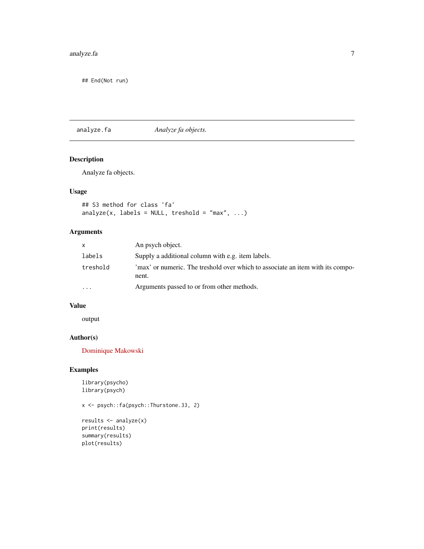### <span id="page-6-0"></span>analyze.fa 7

## End(Not run)

<span id="page-6-1"></span>analyze.fa *Analyze fa objects.*

### Description

Analyze fa objects.

### Usage

## S3 method for class 'fa' analyze(x, labels = NULL, treshold = "max", ...)

### Arguments

| $\mathsf{x}$            | An psych object.                                                                        |
|-------------------------|-----------------------------------------------------------------------------------------|
| labels                  | Supply a additional column with e.g. item labels.                                       |
| treshold                | 'max' or numeric. The treshold over which to associate an item with its compo-<br>nent. |
| $\cdot$ $\cdot$ $\cdot$ | Arguments passed to or from other methods.                                              |

### Value

output

### Author(s)

[Dominique Makowski](https://dominiquemakowski.github.io/)

### Examples

library(psycho) library(psych)

x <- psych::fa(psych::Thurstone.33, 2)

```
results <- analyze(x)
print(results)
summary(results)
plot(results)
```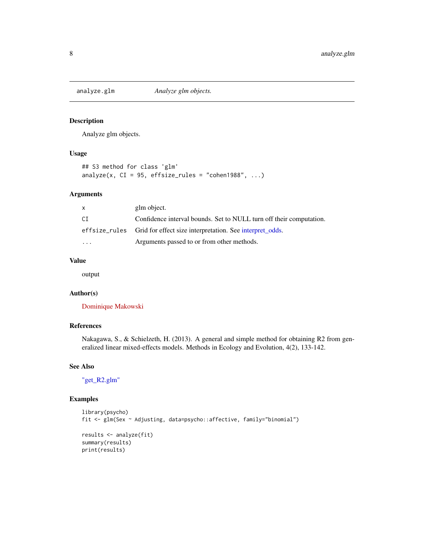<span id="page-7-0"></span>

### Description

Analyze glm objects.

### Usage

```
## S3 method for class 'glm'
analyze(x, CI = 95, effsize_rules = "cohen1988", ...)
```
### Arguments

| X        | glm object.                                                            |
|----------|------------------------------------------------------------------------|
| CI       | Confidence interval bounds. Set to NULL turn off their computation.    |
|          | effsize_rules Grid for effect size interpretation. See interpret odds. |
| $\cdots$ | Arguments passed to or from other methods.                             |

### Value

output

### Author(s)

[Dominique Makowski](https://dominiquemakowski.github.io/)

### References

Nakagawa, S., & Schielzeth, H. (2013). A general and simple method for obtaining R2 from generalized linear mixed-effects models. Methods in Ecology and Evolution, 4(2), 133-142.

#### See Also

["get\\_R2.glm"](#page-50-1)

```
library(psycho)
fit <- glm(Sex ~ Adjusting, data=psycho::affective, family="binomial")
results <- analyze(fit)
summary(results)
print(results)
```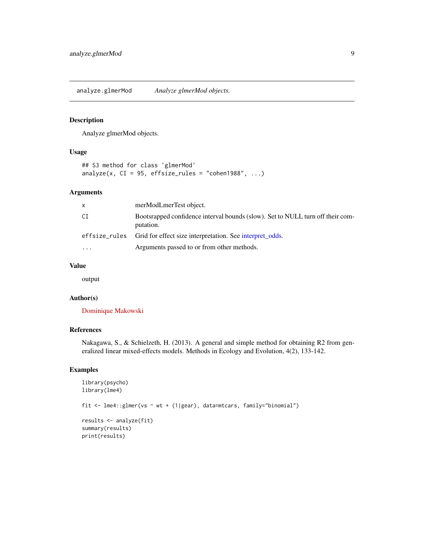<span id="page-8-1"></span><span id="page-8-0"></span>analyze.glmerMod *Analyze glmerMod objects.*

### Description

Analyze glmerMod objects.

### Usage

```
## S3 method for class 'glmerMod'
analyze(x, CI = 95, effsize_rules = "cohen1988", ...)
```
### Arguments

| x         | merModLmerTest object.                                                                      |
|-----------|---------------------------------------------------------------------------------------------|
| СI        | Bootsrapped confidence interval bounds (slow). Set to NULL turn off their com-<br>putation. |
|           | effsize_rules Grid for effect size interpretation. See interpret_odds.                      |
| $\ddotsc$ | Arguments passed to or from other methods.                                                  |

### Value

output

#### Author(s)

[Dominique Makowski](https://dominiquemakowski.github.io/)

### References

Nakagawa, S., & Schielzeth, H. (2013). A general and simple method for obtaining R2 from generalized linear mixed-effects models. Methods in Ecology and Evolution, 4(2), 133-142.

```
library(psycho)
library(lme4)
fit <- lme4::glmer(vs ~ wt + (1|gear), data=mtcars, family="binomial")
results <- analyze(fit)
summary(results)
print(results)
```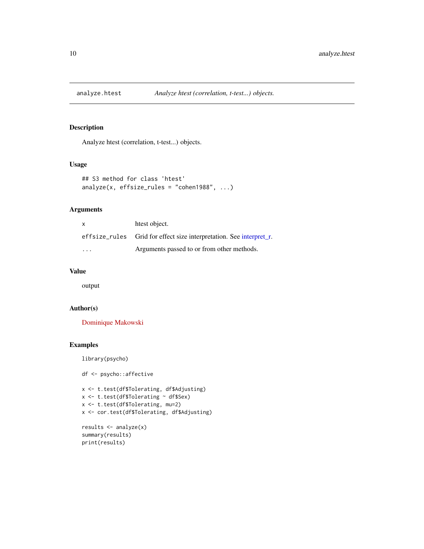<span id="page-9-1"></span><span id="page-9-0"></span>

### Description

Analyze htest (correlation, t-test...) objects.

### Usage

```
## S3 method for class 'htest'
analyze(x, effsize_rules = "cohen1988", \dots)
```
### Arguments

| $\mathsf{x}$ | htest object.                                                       |
|--------------|---------------------------------------------------------------------|
|              | effsize_rules Grid for effect size interpretation. See interpret_r. |
| .            | Arguments passed to or from other methods.                          |

### Value

output

### Author(s)

[Dominique Makowski](https://dominiquemakowski.github.io/)

### Examples

library(psycho)

df <- psycho::affective

```
x <- t.test(df$Tolerating, df$Adjusting)
x <- t.test(df$Tolerating ~ df$Sex)
x <- t.test(df$Tolerating, mu=2)
x <- cor.test(df$Tolerating, df$Adjusting)
```

```
results <- analyze(x)
summary(results)
print(results)
```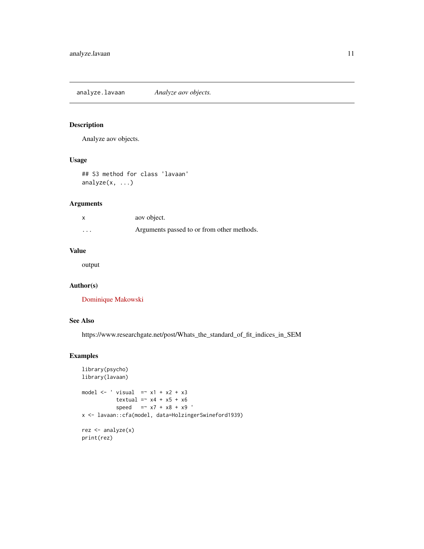<span id="page-10-0"></span>analyze.lavaan *Analyze aov objects.*

### Description

Analyze aov objects.

### Usage

## S3 method for class 'lavaan' analyze(x, ...)

### Arguments

|          | aov object.                                |
|----------|--------------------------------------------|
| $\cdots$ | Arguments passed to or from other methods. |

#### Value

output

### Author(s)

[Dominique Makowski](https://dominiquemakowski.github.io/)

### See Also

https://www.researchgate.net/post/Whats\_the\_standard\_of\_fit\_indices\_in\_SEM

```
library(psycho)
library(lavaan)
model \leftarrow ' visual =\sim x1 + x2 + x3
           textual =~x4 + x5 + x6speed = x7 + x8 + x9x <- lavaan::cfa(model, data=HolzingerSwineford1939)
rez <- analyze(x)
print(rez)
```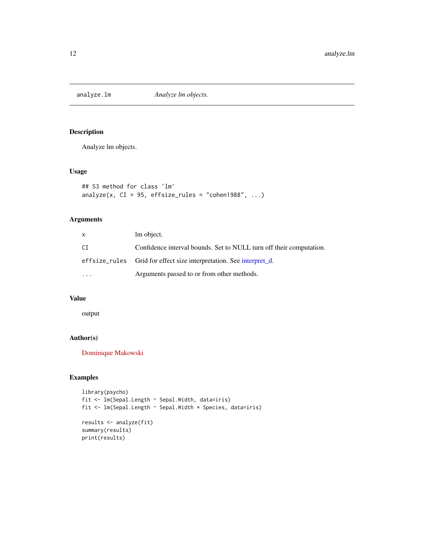<span id="page-11-1"></span><span id="page-11-0"></span>analyze.lm *Analyze lm objects.*

### Description

Analyze lm objects.

### Usage

```
## S3 method for class 'lm'
analyze(x, CI = 95, effsize_rules = "cohen1988", ...)
```
### Arguments

| x                       | lm object.                                                          |
|-------------------------|---------------------------------------------------------------------|
| СI                      | Confidence interval bounds. Set to NULL turn off their computation. |
|                         | effsize_rules Grid for effect size interpretation. See interpret d. |
| $\cdot$ $\cdot$ $\cdot$ | Arguments passed to or from other methods.                          |

### Value

output

### Author(s)

[Dominique Makowski](https://dominiquemakowski.github.io/)

```
library(psycho)
fit <- lm(Sepal.Length ~ Sepal.Width, data=iris)
fit <- lm(Sepal.Length ~ Sepal.Width * Species, data=iris)
results <- analyze(fit)
summary(results)
print(results)
```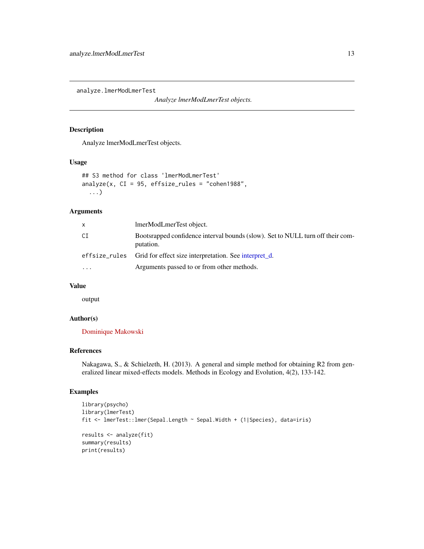<span id="page-12-1"></span><span id="page-12-0"></span>analyze.lmerModLmerTest

*Analyze lmerModLmerTest objects.*

### Description

Analyze lmerModLmerTest objects.

#### Usage

```
## S3 method for class 'lmerModLmerTest'
analyze(x, CI = 95, effsize_rules = "cohen1988",
  ...)
```
### Arguments

| x         | lmerModLmerTest object.                                                                     |
|-----------|---------------------------------------------------------------------------------------------|
| СI        | Bootsrapped confidence interval bounds (slow). Set to NULL turn off their com-<br>putation. |
|           | effsize_rules Grid for effect size interpretation. See interpret_d.                         |
| $\ddotsc$ | Arguments passed to or from other methods.                                                  |

### Value

output

### Author(s)

[Dominique Makowski](https://dominiquemakowski.github.io/)

### References

Nakagawa, S., & Schielzeth, H. (2013). A general and simple method for obtaining R2 from generalized linear mixed-effects models. Methods in Ecology and Evolution, 4(2), 133-142.

```
library(psycho)
library(lmerTest)
fit <- lmerTest::lmer(Sepal.Length ~ Sepal.Width + (1|Species), data=iris)
results <- analyze(fit)
summary(results)
print(results)
```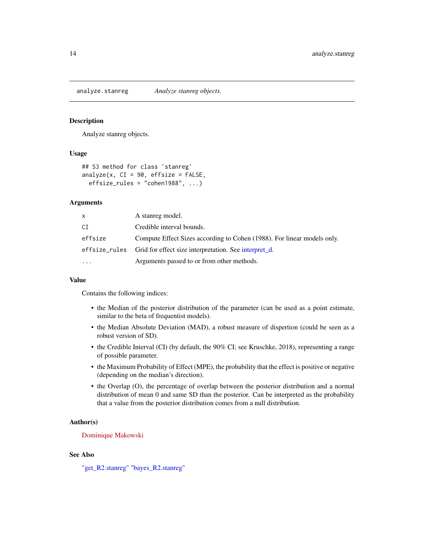<span id="page-13-1"></span><span id="page-13-0"></span>analyze.stanreg *Analyze stanreg objects.*

#### Description

Analyze stanreg objects.

#### Usage

```
## S3 method for class 'stanreg'
analyze(x, CI = 90, effsize = FALSE,
 effsize_rules = "cohen1988", ...)
```
#### Arguments

| x        | A stanreg model.                                                        |
|----------|-------------------------------------------------------------------------|
| СI       | Credible interval bounds.                                               |
| effsize  | Compute Effect Sizes according to Cohen (1988). For linear models only. |
|          | effsize_rules Grid for effect size interpretation. See interpret d.     |
| $\cdots$ | Arguments passed to or from other methods.                              |

#### Value

Contains the following indices:

- the Median of the posterior distribution of the parameter (can be used as a point estimate, similar to the beta of frequentist models).
- the Median Absolute Deviation (MAD), a robust measure of dispertion (could be seen as a robust version of SD).
- the Credible Interval (CI) (by default, the 90% CI; see Kruschke, 2018), representing a range of possible parameter.
- the Maximum Probability of Effect (MPE), the probability that the effect is positive or negative (depending on the median's direction).
- the Overlap (O), the percentage of overlap between the posterior distribution and a normal distribution of mean 0 and same SD than the posterior. Can be interpreted as the probability that a value from the posterior distribution comes from a null distribution.

#### Author(s)

[Dominique Makowski](https://dominiquemakowski.github.io/)

#### See Also

["get\\_R2.stanreg"](#page-52-1) ["bayes\\_R2.stanreg"](#page-0-0)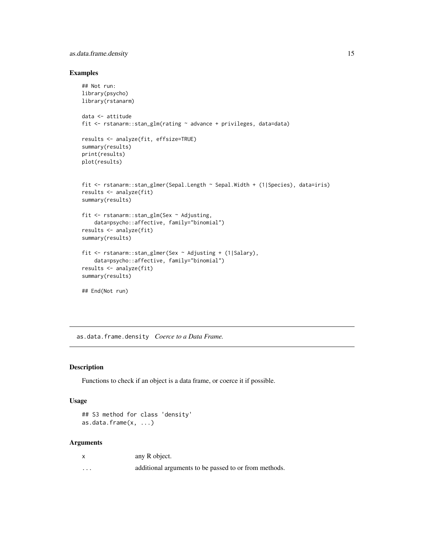### <span id="page-14-0"></span>as.data.frame.density 15

#### Examples

```
## Not run:
library(psycho)
library(rstanarm)
data <- attitude
fit <- rstanarm::stan_glm(rating ~ advance + privileges, data=data)
results <- analyze(fit, effsize=TRUE)
summary(results)
print(results)
plot(results)
fit <- rstanarm::stan_glmer(Sepal.Length ~ Sepal.Width + (1|Species), data=iris)
results <- analyze(fit)
summary(results)
fit <- rstanarm::stan_glm(Sex ~ Adjusting,
    data=psycho::affective, family="binomial")
results <- analyze(fit)
summary(results)
fit <- rstanarm::stan_glmer(Sex ~ Adjusting + (1|Salary),
    data=psycho::affective, family="binomial")
results <- analyze(fit)
summary(results)
## End(Not run)
```
as.data.frame.density *Coerce to a Data Frame.*

#### Description

Functions to check if an object is a data frame, or coerce it if possible.

### Usage

```
## S3 method for class 'density'
as.data.frame(x, ...)
```
#### Arguments

| $\mathsf{x}$ | any R object.                                         |
|--------------|-------------------------------------------------------|
| $\cdots$     | additional arguments to be passed to or from methods. |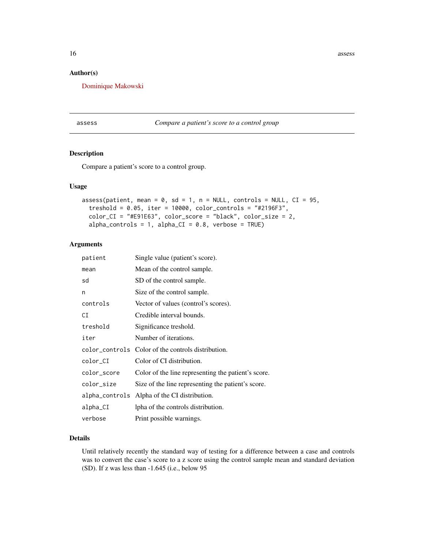<span id="page-15-0"></span>16 assessment and the contract of the contract of the contract of the contract of the contract of the contract of the contract of the contract of the contract of the contract of the contract of the contract of the contract

### Author(s)

[Dominique Makowski](https://dominiquemakowski.github.io/)

assess *Compare a patient's score to a control group*

### Description

Compare a patient's score to a control group.

#### Usage

```
assess(patient, mean = 0, sd = 1, n = NULL, controls = NULL, CI = 95,treshold = 0.05, iter = 10000, color_controls = "#2196F3",
  color_CI = "#E91E63", color_score = "black", color_size = 2,
  alpha_{\text{controls}} = 1, alpha_{\text{CL}} = 0.8, verbose = TRUE)
```
### Arguments

| patient        | Single value (patient's score).                     |
|----------------|-----------------------------------------------------|
| mean           | Mean of the control sample.                         |
| sd             | SD of the control sample.                           |
| n              | Size of the control sample.                         |
| controls       | Vector of values (control's scores).                |
| СI             | Credible interval bounds.                           |
| treshold       | Significance treshold.                              |
| iter           | Number of iterations.                               |
|                | color_controls Color of the controls distribution.  |
| color_CI       | Color of CI distribution.                           |
| color_score    | Color of the line representing the patient's score. |
| color_size     | Size of the line representing the patient's score.  |
| alpha_controls | Alpha of the CI distribution.                       |
| alpha_CI       | lpha of the controls distribution.                  |
| verbose        | Print possible warnings.                            |

### Details

Until relatively recently the standard way of testing for a difference between a case and controls was to convert the case's score to a z score using the control sample mean and standard deviation (SD). If z was less than -1.645 (i.e., below 95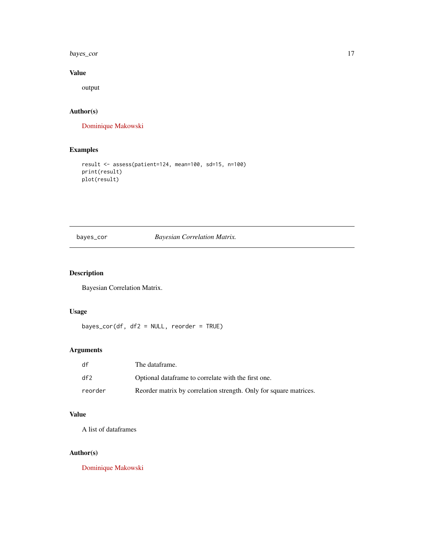<span id="page-16-0"></span>bayes\_cor 17

### Value

output

### Author(s)

[Dominique Makowski](https://dominiquemakowski.github.io/)

### Examples

```
result <- assess(patient=124, mean=100, sd=15, n=100)
print(result)
plot(result)
```
### bayes\_cor *Bayesian Correlation Matrix.*

### Description

Bayesian Correlation Matrix.

### Usage

bayes\_cor(df, df2 = NULL, reorder = TRUE)

### Arguments

| df      | The dataframe.                                                    |
|---------|-------------------------------------------------------------------|
| df2     | Optional dataframe to correlate with the first one.               |
| reorder | Reorder matrix by correlation strength. Only for square matrices. |

## Value

A list of dataframes

### Author(s)

[Dominique Makowski](https://dominiquemakowski.github.io/)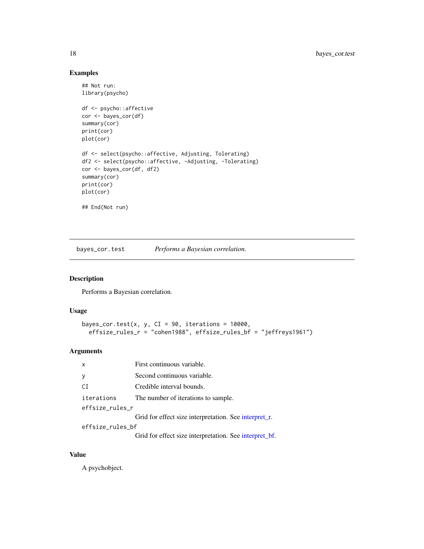### Examples

```
## Not run:
library(psycho)
df <- psycho::affective
cor <- bayes_cor(df)
summary(cor)
print(cor)
plot(cor)
df <- select(psycho::affective, Adjusting, Tolerating)
df2 <- select(psycho::affective, -Adjusting, -Tolerating)
cor <- bayes_cor(df, df2)
summary(cor)
print(cor)
plot(cor)
## End(Not run)
```
bayes\_cor.test *Performs a Bayesian correlation.*

### Description

Performs a Bayesian correlation.

### Usage

```
bayes_cor.test(x, y, CI = 90, iterations = 10000,
 effsize_rules_r = "cohen1988", effsize_rules_bf = "jeffreys1961")
```
### Arguments

| $\mathsf{x}$     | First continuous variable.                             |  |
|------------------|--------------------------------------------------------|--|
|                  | Second continuous variable.                            |  |
| СI               | Credible interval bounds.                              |  |
| iterations       | The number of iterations to sample.                    |  |
| effsize_rules_r  |                                                        |  |
|                  | Grid for effect size interpretation. See interpret_r.  |  |
| effsize_rules_bf |                                                        |  |
|                  | Grid for effect size interpretation. See interpret_bf. |  |

### Value

A psychobject.

<span id="page-17-0"></span>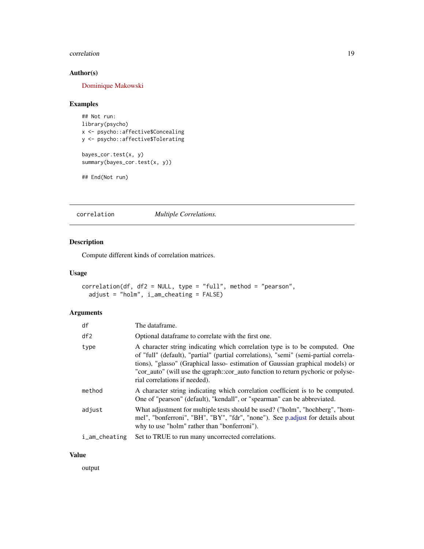#### <span id="page-18-0"></span>correlation and the contract of the contract of the contract of the contract of the contract of the contract of the contract of the contract of the contract of the contract of the contract of the contract of the contract o

### Author(s)

[Dominique Makowski](https://dominiquemakowski.github.io/)

### Examples

```
## Not run:
library(psycho)
x <- psycho::affective$Concealing
y <- psycho::affective$Tolerating
bayes_cor.test(x, y)
```
## End(Not run)

summary(bayes\_cor.test(x, y))

correlation *Multiple Correlations.*

### Description

Compute different kinds of correlation matrices.

#### Usage

```
correlation(df, df2 = NULL, type = "full", method = "pearson",
 adjust = "holm", i_am_cheating = FALSE)
```
### Arguments

| df                         | The dataframe.                                                                                                                                                                                                                                                                                                                                                             |
|----------------------------|----------------------------------------------------------------------------------------------------------------------------------------------------------------------------------------------------------------------------------------------------------------------------------------------------------------------------------------------------------------------------|
| df2                        | Optional data frame to correlate with the first one.                                                                                                                                                                                                                                                                                                                       |
| type                       | A character string indicating which correlation type is to be computed. One<br>of "full" (default), "partial" (partial correlations), "semi" (semi-partial correla-<br>tions), "glasso" (Graphical lasso- estimation of Gaussian graphical models) or<br>"cor_auto" (will use the qgraph::cor_auto function to return pychoric or polyse-<br>rial correlations if needed). |
| method                     | A character string indicating which correlation coefficient is to be computed.<br>One of "pearson" (default), "kendall", or "spearman" can be abbreviated.                                                                                                                                                                                                                 |
| adjust                     | What adjustment for multiple tests should be used? ("holm", "hochberg", "hom-<br>mel", "bonferroni", "BH", "BY", "fdr", "none"). See p.adjust for details about<br>why to use "holm" rather than "bonferroni").                                                                                                                                                            |
| $i_{-}$ am $_{-}$ cheating | Set to TRUE to run many uncorrected correlations.                                                                                                                                                                                                                                                                                                                          |

### Value

output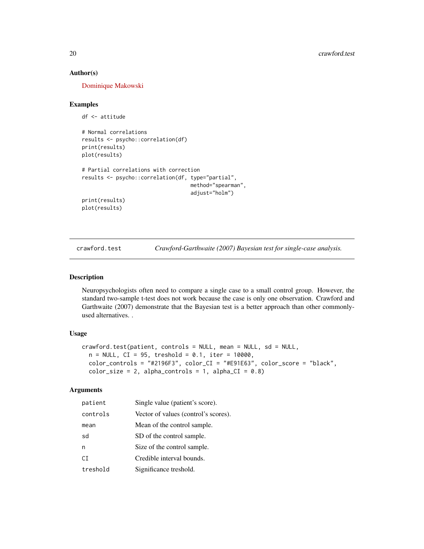#### Author(s)

[Dominique Makowski](https://dominiquemakowski.github.io/)

#### Examples

```
df <- attitude
# Normal correlations
results <- psycho::correlation(df)
print(results)
plot(results)
# Partial correlations with correction
results <- psycho::correlation(df, type="partial",
                                   method="spearman",
                                   adjust="holm")
print(results)
plot(results)
```
crawford.test *Crawford-Garthwaite (2007) Bayesian test for single-case analysis.*

#### Description

Neuropsychologists often need to compare a single case to a small control group. However, the standard two-sample t-test does not work because the case is only one observation. Crawford and Garthwaite (2007) demonstrate that the Bayesian test is a better approach than other commonlyused alternatives. .

#### Usage

```
crawford.test(patient, controls = NULL, mean = NULL, sd = NULL,
  n = NULL, CI = 95, treshold = 0.1, iter = 10000,
  color_controls = "#2196F3", color_CI = "#E91E63", color_score = "black",
  color_size = 2, alpha_controls = 1, alpha_CI = 0.8)
```
#### Arguments

| patient  | Single value (patient's score).      |
|----------|--------------------------------------|
| controls | Vector of values (control's scores). |
| mean     | Mean of the control sample.          |
| sd       | SD of the control sample.            |
| n        | Size of the control sample.          |
| CT.      | Credible interval bounds.            |
| treshold | Significance treshold.               |

<span id="page-19-0"></span>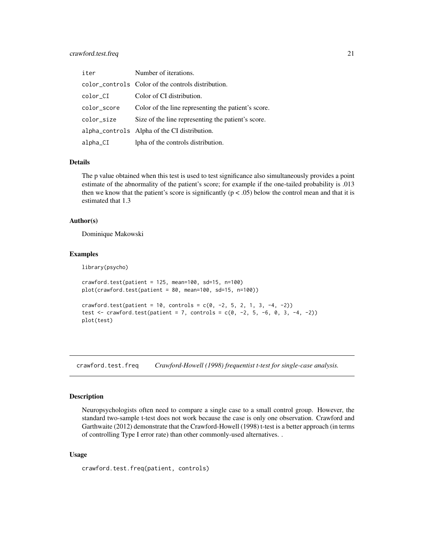### <span id="page-20-0"></span>crawford.test.freq 21

| iter        | Number of iterations.                               |
|-------------|-----------------------------------------------------|
|             | color_controls Color of the controls distribution.  |
| color_CI    | Color of CI distribution.                           |
| color_score | Color of the line representing the patient's score. |
| color_size  | Size of the line representing the patient's score.  |
|             | alpha_controls Alpha of the CI distribution.        |
| alpha_CI    | lpha of the controls distribution.                  |

#### Details

The p value obtained when this test is used to test significance also simultaneously provides a point estimate of the abnormality of the patient's score; for example if the one-tailed probability is .013 then we know that the patient's score is significantly ( $p < .05$ ) below the control mean and that it is estimated that 1.3

#### Author(s)

Dominique Makowski

#### Examples

library(psycho)

```
crawford.test(path = 125, mean=100, sd=15, n=100)plot(crawford.test(patient = 80, mean=100, sd=15, n=100))
crawford.test(patient = 10, controls = c(0, -2, 5, 2, 1, 3, -4, -2))
test <- crawford.test(patient = 7, controls = c(0, -2, 5, -6, 0, 3, -4, -2))
plot(test)
```
crawford.test.freq *Crawford-Howell (1998) frequentist t-test for single-case analysis.*

#### Description

Neuropsychologists often need to compare a single case to a small control group. However, the standard two-sample t-test does not work because the case is only one observation. Crawford and Garthwaite (2012) demonstrate that the Crawford-Howell (1998) t-test is a better approach (in terms of controlling Type I error rate) than other commonly-used alternatives. .

#### Usage

```
crawford.test.freq(patient, controls)
```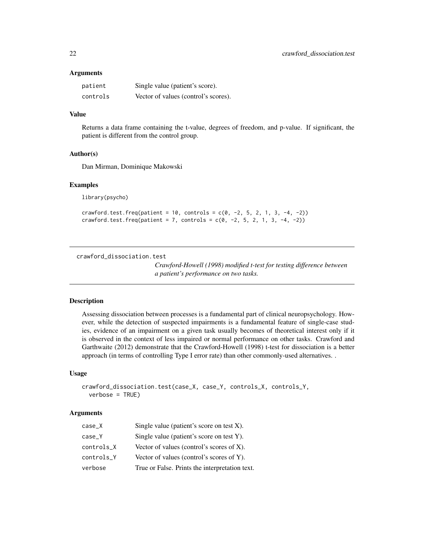#### <span id="page-21-0"></span>**Arguments**

| patient  | Single value (patient's score).      |
|----------|--------------------------------------|
| controls | Vector of values (control's scores). |

### Value

Returns a data frame containing the t-value, degrees of freedom, and p-value. If significant, the patient is different from the control group.

#### Author(s)

Dan Mirman, Dominique Makowski

#### Examples

library(psycho)

crawford.test.freq(patient =  $10$ , controls =  $c(0, -2, 5, 2, 1, 3, -4, -2)$ ) crawford.test.freq(patient = 7, controls =  $c(0, -2, 5, 2, 1, 3, -4, -2)$ )

crawford\_dissociation.test

*Crawford-Howell (1998) modified t-test for testing difference between a patient's performance on two tasks.*

### Description

Assessing dissociation between processes is a fundamental part of clinical neuropsychology. However, while the detection of suspected impairments is a fundamental feature of single-case studies, evidence of an impairment on a given task usually becomes of theoretical interest only if it is observed in the context of less impaired or normal performance on other tasks. Crawford and Garthwaite (2012) demonstrate that the Crawford-Howell (1998) t-test for dissociation is a better approach (in terms of controlling Type I error rate) than other commonly-used alternatives. .

#### Usage

```
crawford_dissociation.test(case_X, case_Y, controls_X, controls_Y,
  verbose = TRUE)
```
#### Arguments

| $case_X$   | Single value (patient's score on test $X$ ).   |
|------------|------------------------------------------------|
| case Y     | Single value (patient's score on test Y).      |
| controls_X | Vector of values (control's scores of $X$ ).   |
| controls_Y | Vector of values (control's scores of Y).      |
| verbose    | True or False. Prints the interpretation text. |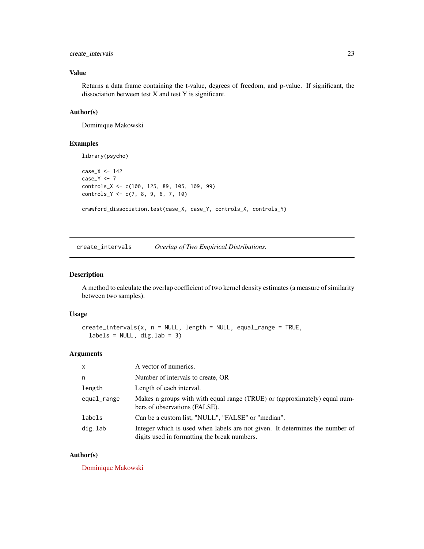### <span id="page-22-0"></span>create\_intervals 23

### Value

Returns a data frame containing the t-value, degrees of freedom, and p-value. If significant, the dissociation between test X and test Y is significant.

### Author(s)

Dominique Makowski

#### Examples

```
library(psycho)
case_X <- 142
case_Y <- 7
controls_X <- c(100, 125, 89, 105, 109, 99)
controls_Y <- c(7, 8, 9, 6, 7, 10)
crawford_dissociation.test(case_X, case_Y, controls_X, controls_Y)
```
create\_intervals *Overlap of Two Empirical Distributions.*

#### Description

A method to calculate the overlap coefficient of two kernel density estimates (a measure of similarity between two samples).

#### Usage

```
create_intervals(x, n = NULL, length = NULL, equal_range = TRUE,
  labels = NULL, dig.lab = 3)
```
### Arguments

| $\mathsf{x}$ | A vector of numerics.                                                                                                        |
|--------------|------------------------------------------------------------------------------------------------------------------------------|
| n            | Number of intervals to create, OR                                                                                            |
| length       | Length of each interval.                                                                                                     |
| equal_range  | Makes n groups with with equal range (TRUE) or (approximately) equal num-<br>bers of observations (FALSE).                   |
| labels       | Can be a custom list, "NULL", "FALSE" or "median".                                                                           |
| dig.lab      | Integer which is used when labels are not given. It determines the number of<br>digits used in formatting the break numbers. |

#### Author(s)

[Dominique Makowski](https://dominiquemakowski.github.io/)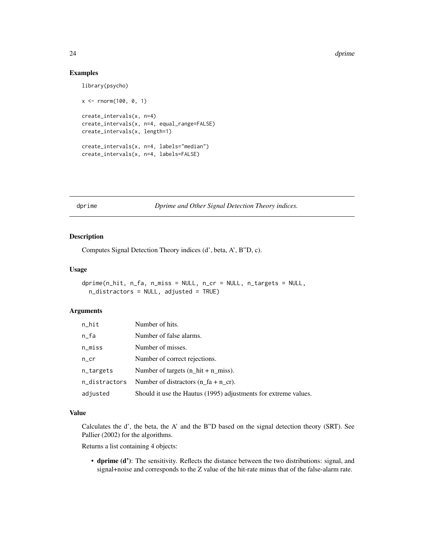24 degree of the control of the control of the control of the control of the control of the control of the control of the control of the control of the control of the control of the control of the control of the control of

#### Examples

```
library(psycho)
x <- rnorm(100, 0, 1)
create_intervals(x, n=4)
create_intervals(x, n=4, equal_range=FALSE)
create_intervals(x, length=1)
create_intervals(x, n=4, labels="median")
create_intervals(x, n=4, labels=FALSE)
```
dprime *Dprime and Other Signal Detection Theory indices.*

### Description

Computes Signal Detection Theory indices (d', beta, A', B"D, c).

#### Usage

```
dprime(n_hit, n_fa, n_miss = NULL, n_cr = NULL, n_targets = NULL,
 n_distractors = NULL, adjusted = TRUE)
```
#### **Arguments**

| $n$ _hit            | Number of hits.                                                 |
|---------------------|-----------------------------------------------------------------|
| $n_fa$              | Number of false alarms.                                         |
| $n$ <sub>miss</sub> | Number of misses.                                               |
| $n_{}cr$            | Number of correct rejections.                                   |
| n_targets           | Number of targets $(n_1hit + n_2miss)$ .                        |
| n_distractors       | Number of distractors $(n \text{ fa} + n \text{ cr})$ .         |
| adjusted            | Should it use the Hautus (1995) adjustments for extreme values. |

### Value

Calculates the d', the beta, the A' and the B"D based on the signal detection theory (SRT). See Pallier (2002) for the algorithms.

Returns a list containing 4 objects:

• dprime (d'): The sensitivity. Reflects the distance between the two distributions: signal, and signal+noise and corresponds to the Z value of the hit-rate minus that of the false-alarm rate.

<span id="page-23-0"></span>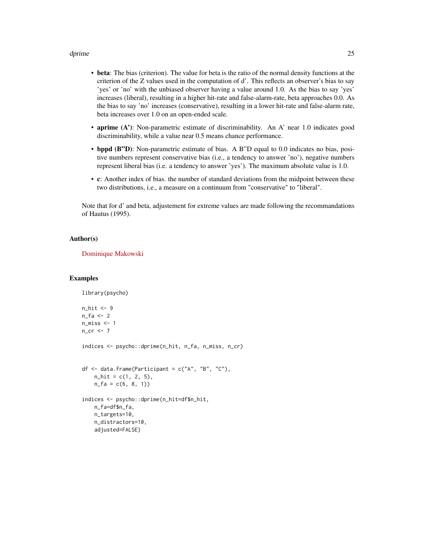#### dprime 25

- beta: The bias (criterion). The value for beta is the ratio of the normal density functions at the criterion of the Z values used in the computation of d'. This reflects an observer's bias to say 'yes' or 'no' with the unbiased observer having a value around 1.0. As the bias to say 'yes' increases (liberal), resulting in a higher hit-rate and false-alarm-rate, beta approaches 0.0. As the bias to say 'no' increases (conservative), resulting in a lower hit-rate and false-alarm rate, beta increases over 1.0 on an open-ended scale.
- aprime (A'): Non-parametric estimate of discriminability. An A' near 1.0 indicates good discriminability, while a value near 0.5 means chance performance.
- bppd (B"D): Non-parametric estimate of bias. A B"D equal to 0.0 indicates no bias, positive numbers represent conservative bias (i.e., a tendency to answer 'no'), negative numbers represent liberal bias (i.e. a tendency to answer 'yes'). The maximum absolute value is 1.0.
- c: Another index of bias. the number of standard deviations from the midpoint between these two distributions, i.e., a measure on a continuum from "conservative" to "liberal".

Note that for d' and beta, adjustement for extreme values are made following the recommandations of Hautus (1995).

#### Author(s)

[Dominique Makowski](https://dominiquemakowski.github.io/)

library(psycho)

```
n_hit <- 9
n_fa \leftarrow 2n_miss <- 1
n_cr <- 7
indices <- psycho::dprime(n_hit, n_fa, n_miss, n_cr)
df \leq data.frame(Participant = c("A", "B", "C"),n_1 hit = c(1, 2, 5),
    n_f = c(6, 8, 1)indices <- psycho::dprime(n_hit=df$n_hit,
    n_fa=df$n_fa,
    n_targets=10,
    n_distractors=10,
    adjusted=FALSE)
```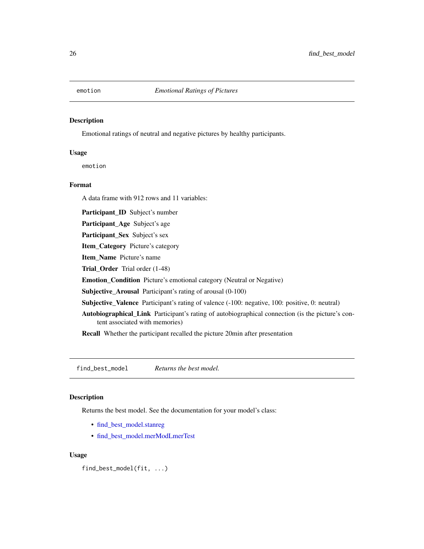<span id="page-25-0"></span>

#### Description

Emotional ratings of neutral and negative pictures by healthy participants.

### Usage

emotion

#### Format

A data frame with 912 rows and 11 variables:

Participant\_ID Subject's number

Participant\_Age Subject's age

Participant\_Sex Subject's sex

Item\_Category Picture's category

Item\_Name Picture's name

Trial\_Order Trial order (1-48)

Emotion\_Condition Picture's emotional category (Neutral or Negative)

Subjective\_Arousal Participant's rating of arousal (0-100)

Subjective\_Valence Participant's rating of valence (-100: negative, 100: positive, 0: neutral)

Autobiographical\_Link Participant's rating of autobiographical connection (is the picture's content associated with memories)

Recall Whether the participant recalled the picture 20min after presentation

find\_best\_model *Returns the best model.*

#### Description

Returns the best model. See the documentation for your model's class:

- [find\\_best\\_model.stanreg](#page-27-1)
- [find\\_best\\_model.merModLmerTest](#page-26-1)

#### Usage

find\_best\_model(fit, ...)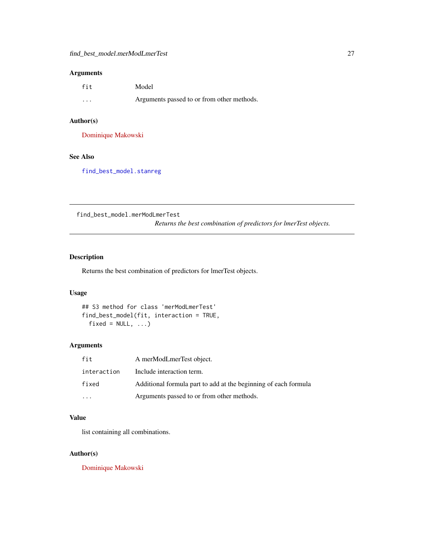### <span id="page-26-0"></span>Arguments

| fit      | Model                                      |
|----------|--------------------------------------------|
| $\cdots$ | Arguments passed to or from other methods. |

### Author(s)

[Dominique Makowski](https://dominiquemakowski.github.io/)

### See Also

[find\\_best\\_model.stanreg](#page-27-1)

<span id="page-26-1"></span>find\_best\_model.merModLmerTest

*Returns the best combination of predictors for lmerTest objects.*

### Description

Returns the best combination of predictors for lmerTest objects.

### Usage

## S3 method for class 'merModLmerTest' find\_best\_model(fit, interaction = TRUE,  $fixed = NULL, ...$ 

### Arguments

| fit         | A merModLmerTest object.                                        |
|-------------|-----------------------------------------------------------------|
| interaction | Include interaction term.                                       |
| fixed       | Additional formula part to add at the beginning of each formula |
|             | Arguments passed to or from other methods.                      |

### Value

list containing all combinations.

### Author(s)

[Dominique Makowski](https://dominiquemakowski.github.io/)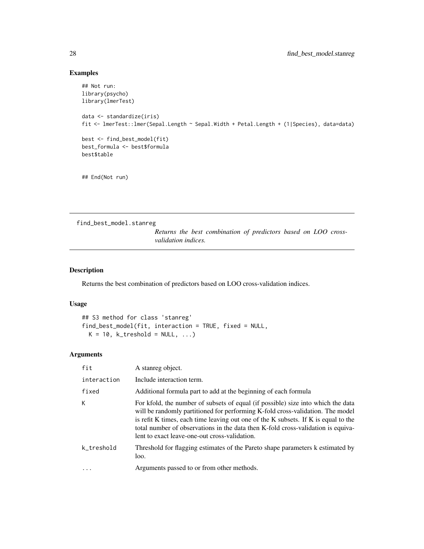### Examples

```
## Not run:
library(psycho)
library(lmerTest)
data <- standardize(iris)
fit <- lmerTest::lmer(Sepal.Length ~ Sepal.Width + Petal.Length + (1|Species), data=data)
best <- find_best_model(fit)
best_formula <- best$formula
best$table
## End(Not run)
```
<span id="page-27-1"></span>find\_best\_model.stanreg

*Returns the best combination of predictors based on LOO crossvalidation indices.*

### Description

Returns the best combination of predictors based on LOO cross-validation indices.

#### Usage

```
## S3 method for class 'stanreg'
find_best_model(fit, interaction = TRUE, fixed = NULL,
 K = 10, k_treshold = NULL, ...)
```
### Arguments

| fit         | A stanreg object.                                                                                                                                                                                                                                                                                                                                                                             |
|-------------|-----------------------------------------------------------------------------------------------------------------------------------------------------------------------------------------------------------------------------------------------------------------------------------------------------------------------------------------------------------------------------------------------|
| interaction | Include interaction term.                                                                                                                                                                                                                                                                                                                                                                     |
| fixed       | Additional formula part to add at the beginning of each formula                                                                                                                                                                                                                                                                                                                               |
| K           | For kfold, the number of subsets of equal (if possible) size into which the data<br>will be randomly partitioned for performing K-fold cross-validation. The model<br>is refit K times, each time leaving out one of the K subsets. If K is equal to the<br>total number of observations in the data then K-fold cross-validation is equiva-<br>lent to exact leave-one-out cross-validation. |
| k_treshold  | Threshold for flagging estimates of the Pareto shape parameters k estimated by<br>loo.                                                                                                                                                                                                                                                                                                        |
| $\cdots$    | Arguments passed to or from other methods.                                                                                                                                                                                                                                                                                                                                                    |
|             |                                                                                                                                                                                                                                                                                                                                                                                               |

<span id="page-27-0"></span>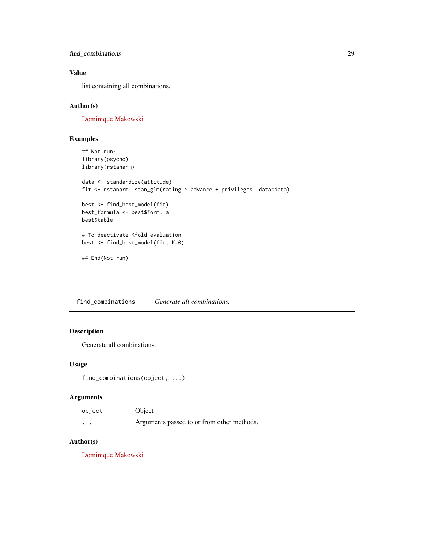<span id="page-28-0"></span>find\_combinations 29

### Value

list containing all combinations.

### Author(s)

[Dominique Makowski](https://dominiquemakowski.github.io/)

### Examples

```
## Not run:
library(psycho)
library(rstanarm)
data <- standardize(attitude)
fit <- rstanarm::stan_glm(rating ~ advance + privileges, data=data)
best <- find_best_model(fit)
best_formula <- best$formula
best$table
# To deactivate Kfold evaluation
best <- find_best_model(fit, K=0)
## End(Not run)
```
find\_combinations *Generate all combinations.*

### Description

Generate all combinations.

#### Usage

```
find_combinations(object, ...)
```
### Arguments

| object   | Object                                     |
|----------|--------------------------------------------|
| $\cdots$ | Arguments passed to or from other methods. |

### Author(s)

[Dominique Makowski](https://dominiquemakowski.github.io/)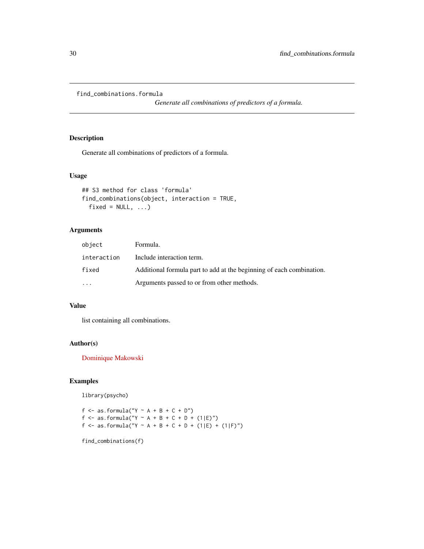<span id="page-29-0"></span>find\_combinations.formula

*Generate all combinations of predictors of a formula.*

### Description

Generate all combinations of predictors of a formula.

### Usage

```
## S3 method for class 'formula'
find_combinations(object, interaction = TRUE,
 fixed = NULL, ...)
```
### Arguments

| object      | Formula.                                                             |
|-------------|----------------------------------------------------------------------|
| interaction | Include interaction term.                                            |
| fixed       | Additional formula part to add at the beginning of each combination. |
| $\ddotsc$   | Arguments passed to or from other methods.                           |

### Value

list containing all combinations.

### Author(s)

[Dominique Makowski](https://dominiquemakowski.github.io/)

### Examples

library(psycho)

f  $\leq$  as.formula("Y  $\sim$  A + B + C + D") f <- as.formula("Y ~ A + B + C + D + (1|E)") f <- as.formula("Y ~ A + B + C + D + (1|E) + (1|F)")

find\_combinations(f)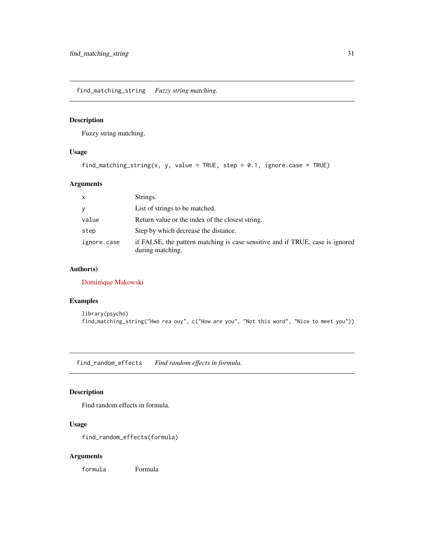<span id="page-30-0"></span>find\_matching\_string *Fuzzy string matching.*

### Description

Fuzzy string matching.

### Usage

find\_matching\_string(x, y, value = TRUE, step =  $0.1$ , ignore.case = TRUE)

### Arguments

| $\mathsf{x}$ | Strings.                                                                                          |
|--------------|---------------------------------------------------------------------------------------------------|
| y            | List of strings to be matched.                                                                    |
| value        | Return value or the index of the closest string.                                                  |
| step         | Step by which decrease the distance.                                                              |
| ignore.case  | if FALSE, the pattern matching is case sensitive and if TRUE, case is ignored<br>during matching. |

### Author(s)

[Dominique Makowski](https://dominiquemakowski.github.io/)

### Examples

```
library(psycho)
find_matching_string("Hwo rea ouy", c("How are you", "Not this word", "Nice to meet you"))
```
find\_random\_effects *Find random effects in formula.*

### Description

Find random effects in formula.

### Usage

find\_random\_effects(formula)

### Arguments

formula Formula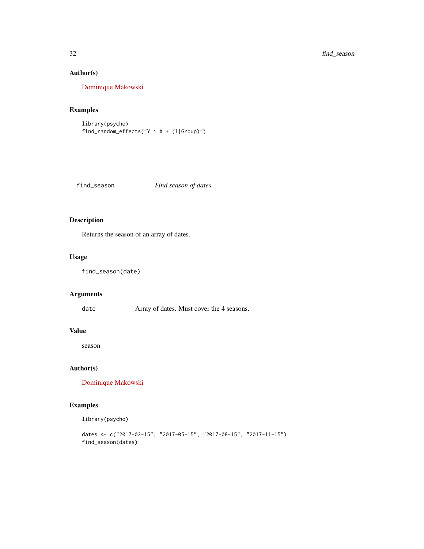### Author(s)

[Dominique Makowski](https://dominiquemakowski.github.io/)

### Examples

library(psycho) find\_random\_effects(" $Y \sim X + (1|Group)$ ")

find\_season *Find season of dates.*

### Description

Returns the season of an array of dates.

#### Usage

find\_season(date)

### Arguments

date **Array of dates.** Must cover the 4 seasons.

#### Value

season

### Author(s)

[Dominique Makowski](https://dominiquemakowski.github.io/)

### Examples

library(psycho)

```
dates <- c("2017-02-15", "2017-05-15", "2017-08-15", "2017-11-15")
find_season(dates)
```
<span id="page-31-0"></span>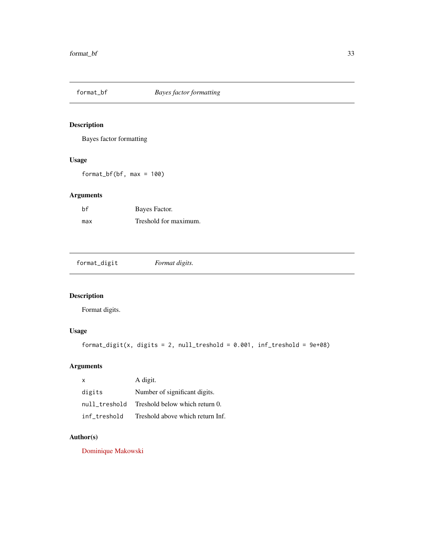<span id="page-32-0"></span>

### Description

Bayes factor formatting

### Usage

format\_bf(bf, max = 100)

### Arguments

| hf  | Bayes Factor.         |
|-----|-----------------------|
| max | Treshold for maximum. |

format\_digit *Format digits.*

### Description

Format digits.

### Usage

```
format_digit(x, digits = 2, null_treshold = 0.001, inf_treshold = 9e+08)
```
### Arguments

| X             | A digit.                         |
|---------------|----------------------------------|
| digits        | Number of significant digits.    |
| null treshold | Treshold below which return 0.   |
| inf treshold  | Treshold above which return Inf. |

### Author(s)

[Dominique Makowski](https://dominiquemakowski.github.io/)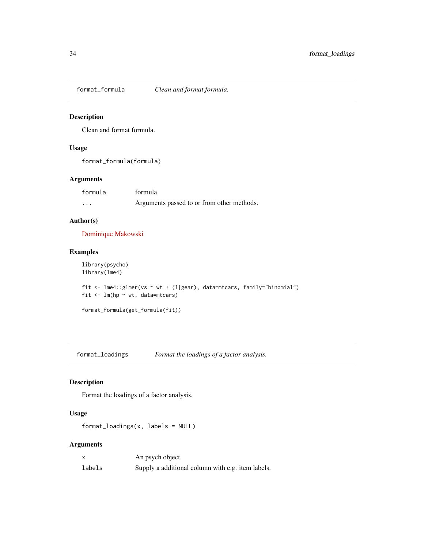<span id="page-33-0"></span>format\_formula *Clean and format formula.*

#### Description

Clean and format formula.

### Usage

format\_formula(formula)

### Arguments

| formula  | formula                                    |
|----------|--------------------------------------------|
| $\cdots$ | Arguments passed to or from other methods. |

### Author(s)

[Dominique Makowski](https://dominiquemakowski.github.io/)

### Examples

```
library(psycho)
library(lme4)
fit <- lme4::glmer(vs ~ wt + (1|gear), data=mtcars, family="binomial")
fit \leq lm(hp \sim wt, data=mtcars)
```

```
format_formula(get_formula(fit))
```
format\_loadings *Format the loadings of a factor analysis.*

### Description

Format the loadings of a factor analysis.

### Usage

format\_loadings(x, labels = NULL)

### Arguments

|        | An psych object.                                  |
|--------|---------------------------------------------------|
| labels | Supply a additional column with e.g. item labels. |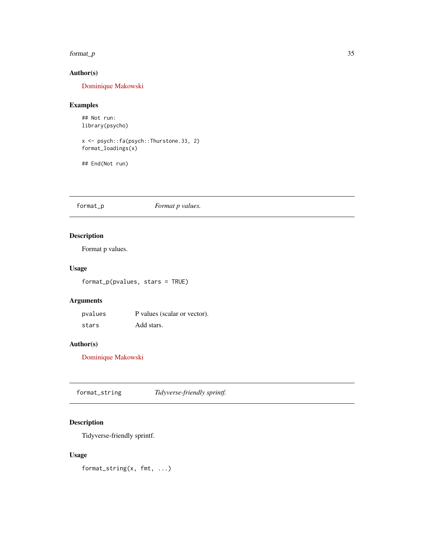#### <span id="page-34-0"></span>format\_p 35

### Author(s)

[Dominique Makowski](https://dominiquemakowski.github.io/)

### Examples

## Not run: library(psycho)

x <- psych::fa(psych::Thurstone.33, 2) format\_loadings(x)

## End(Not run)

### format\_p *Format p values.*

### Description

Format p values.

### Usage

format\_p(pvalues, stars = TRUE)

### Arguments

pvalues P values (scalar or vector). stars Add stars.

### Author(s)

[Dominique Makowski](https://dominiquemakowski.github.io/)

format\_string *Tidyverse-friendly sprintf.*

### Description

Tidyverse-friendly sprintf.

#### Usage

format\_string(x, fmt, ...)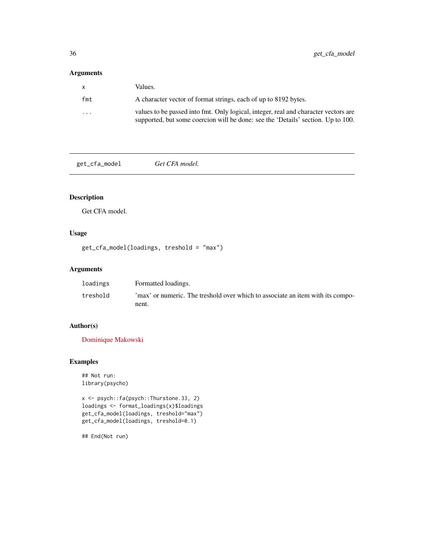### <span id="page-35-0"></span>Arguments

| X                 | Values.                                                                                                                                                                 |
|-------------------|-------------------------------------------------------------------------------------------------------------------------------------------------------------------------|
| fmt               | A character vector of format strings, each of up to 8192 bytes.                                                                                                         |
| $\cdot\cdot\cdot$ | values to be passed into fmt. Only logical, integer, real and character vectors are<br>supported, but some coercion will be done: see the 'Details' section. Up to 100. |

get\_cfa\_model *Get CFA model.*

### Description

Get CFA model.

## Usage

get\_cfa\_model(loadings, treshold = "max")

### Arguments

| loadings | Formatted loadings.                                                            |
|----------|--------------------------------------------------------------------------------|
| treshold | 'max' or numeric. The treshold over which to associate an item with its compo- |
|          | nent.                                                                          |

### Author(s)

[Dominique Makowski](https://dominiquemakowski.github.io/)

### Examples

```
## Not run:
library(psycho)
```

```
x <- psych::fa(psych::Thurstone.33, 2)
loadings <- format_loadings(x)$loadings
get_cfa_model(loadings, treshold="max")
get_cfa_model(loadings, treshold=0.1)
```
## End(Not run)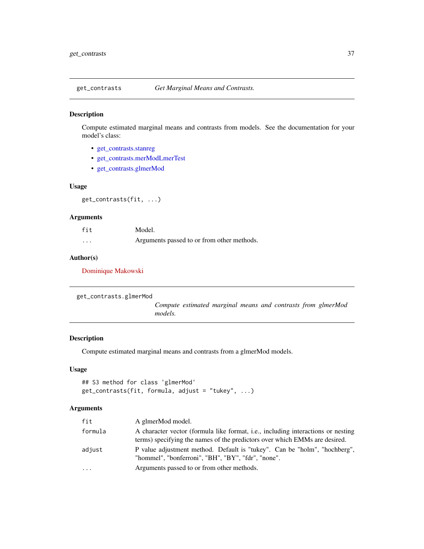# Description

Compute estimated marginal means and contrasts from models. See the documentation for your model's class:

- [get\\_contrasts.stanreg](#page-38-0)
- [get\\_contrasts.merModLmerTest](#page-37-0)
- [get\\_contrasts.glmerMod](#page-36-0)

# Usage

get\_contrasts(fit, ...)

# Arguments

| fit      | Model.                                     |
|----------|--------------------------------------------|
| $\cdots$ | Arguments passed to or from other methods. |

#### Author(s)

[Dominique Makowski](https://dominiquemakowski.github.io/)

```
get_contrasts.glmerMod
                        Compute estimated marginal means and contrasts from glmerMod
                        models.
```
#### Description

Compute estimated marginal means and contrasts from a glmerMod models.

## Usage

```
## S3 method for class 'glmerMod'
get_contrasts(fit, formula, adjust = "tukey", ...)
```
# Arguments

| fit     | A glmerMod model.                                                                                                                                              |
|---------|----------------------------------------------------------------------------------------------------------------------------------------------------------------|
| formula | A character vector (formula like format, i.e., including interactions or nesting<br>terms) specifying the names of the predictors over which EMMs are desired. |
| adjust  | P value adjustment method. Default is "tukey". Can be "holm", "hochberg",<br>"hommel", "bonferroni", "BH", "BY", "fdr", "none".                                |
| .       | Arguments passed to or from other methods.                                                                                                                     |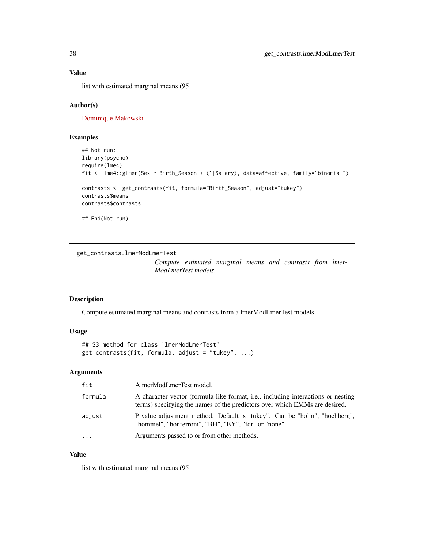### Value

list with estimated marginal means (95

### Author(s)

[Dominique Makowski](https://dominiquemakowski.github.io/)

# Examples

```
## Not run:
library(psycho)
require(lme4)
fit <- lme4::glmer(Sex ~ Birth_Season + (1|Salary), data=affective, family="binomial")
contrasts <- get_contrasts(fit, formula="Birth_Season", adjust="tukey")
contrasts$means
contrasts$contrasts
## End(Not run)
```
<span id="page-37-0"></span>get\_contrasts.lmerModLmerTest

*Compute estimated marginal means and contrasts from lmer-ModLmerTest models.*

#### Description

Compute estimated marginal means and contrasts from a lmerModLmerTest models.

### Usage

## S3 method for class 'lmerModLmerTest' get\_contrasts(fit, formula, adjust = "tukey", ...)

# Arguments

| fit        | A merModLmerTest model.                                                                                                                                        |
|------------|----------------------------------------------------------------------------------------------------------------------------------------------------------------|
| formula    | A character vector (formula like format, i.e., including interactions or nesting<br>terms) specifying the names of the predictors over which EMMs are desired. |
| adjust     | P value adjustment method. Default is "tukey". Can be "holm", "hochberg",<br>"hommel", "bonferroni", "BH", "BY", "fdr" or "none".                              |
| $\ddots$ . | Arguments passed to or from other methods.                                                                                                                     |

## Value

list with estimated marginal means (95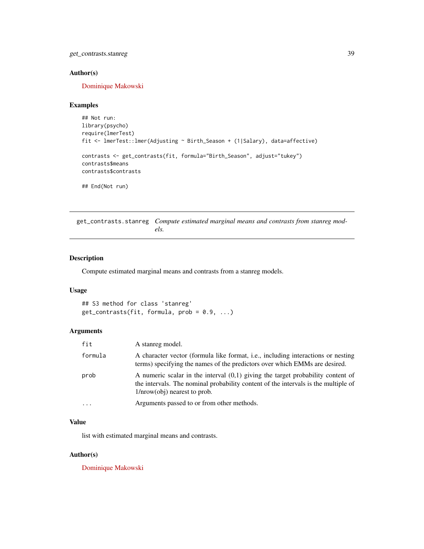get\_contrasts.stanreg 39

## Author(s)

[Dominique Makowski](https://dominiquemakowski.github.io/)

#### Examples

```
## Not run:
library(psycho)
require(lmerTest)
fit <- lmerTest::lmer(Adjusting ~ Birth_Season + (1|Salary), data=affective)
contrasts <- get_contrasts(fit, formula="Birth_Season", adjust="tukey")
contrasts$means
contrasts$contrasts
## End(Not run)
```
<span id="page-38-0"></span>get\_contrasts.stanreg *Compute estimated marginal means and contrasts from stanreg models.*

#### Description

Compute estimated marginal means and contrasts from a stanreg models.

#### Usage

```
## S3 method for class 'stanreg'
get\_contrast(fit, formula, prob = 0.9, ...)
```
#### Arguments

| fit     | A stanreg model.                                                                                                                                                                                          |
|---------|-----------------------------------------------------------------------------------------------------------------------------------------------------------------------------------------------------------|
| formula | A character vector (formula like format, i.e., including interactions or nesting<br>terms) specifying the names of the predictors over which EMMs are desired.                                            |
| prob    | A numeric scalar in the interval $(0,1)$ giving the target probability content of<br>the intervals. The nominal probability content of the intervals is the multiple of<br>$1/nrow(obj)$ nearest to prob. |
|         | Arguments passed to or from other methods.                                                                                                                                                                |

#### Value

list with estimated marginal means and contrasts.

#### Author(s)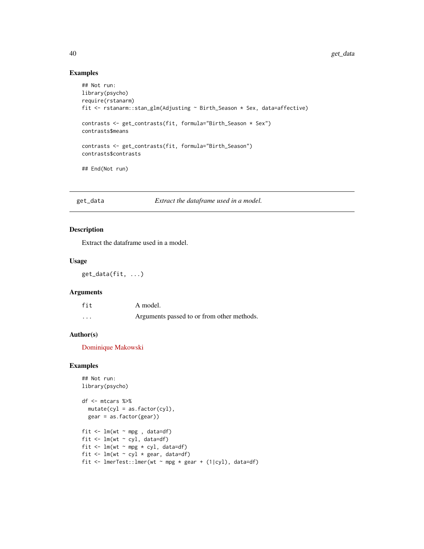# Examples

```
## Not run:
library(psycho)
require(rstanarm)
fit <- rstanarm::stan_glm(Adjusting ~ Birth_Season * Sex, data=affective)
contrasts <- get_contrasts(fit, formula="Birth_Season * Sex")
contrasts$means
contrasts <- get_contrasts(fit, formula="Birth_Season")
contrasts$contrasts
## End(Not run)
```
get\_data *Extract the dataframe used in a model.*

# Description

Extract the dataframe used in a model.

### Usage

get\_data(fit, ...)

#### Arguments

| fit               | A model.                                   |
|-------------------|--------------------------------------------|
| $\cdot\cdot\cdot$ | Arguments passed to or from other methods. |

#### Author(s)

[Dominique Makowski](https://dominiquemakowski.github.io/)

# Examples

```
## Not run:
library(psycho)
df <- mtcars %>%
 mutate(cyl = as.factor(cyl),gear = as.factor(gear))
fit \leq lm(wt \sim mpg, data=df)
fit \leq lm(wt \sim cyl, data=df)
fit \leq lm(wt \sim mpg * cyl, data=df)
fit \leq lm(wt \sim cyl * gear, data=df)
fit <- lmerTest::lmer(wt ~ mpg * gear + (1|cyl), data=df)
```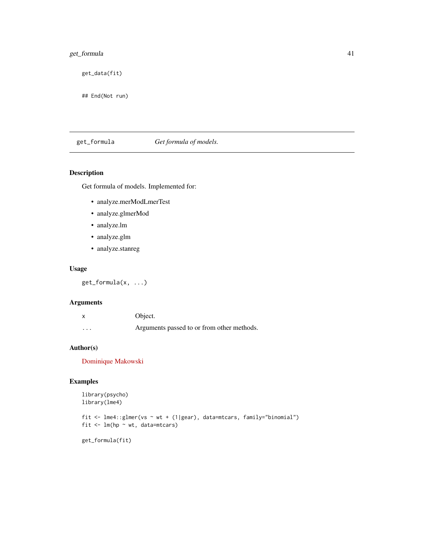# get\_formula 41

get\_data(fit)

## End(Not run)

get\_formula *Get formula of models.*

# Description

Get formula of models. Implemented for:

- analyze.merModLmerTest
- analyze.glmerMod
- analyze.lm
- analyze.glm
- analyze.stanreg

### Usage

get\_formula(x, ...)

# Arguments

|   | Object.                                    |
|---|--------------------------------------------|
| . | Arguments passed to or from other methods. |

# Author(s)

[Dominique Makowski](https://dominiquemakowski.github.io/)

# Examples

```
library(psycho)
library(lme4)
```

```
fit <- lme4::glmer(vs ~ wt + (1|gear), data=mtcars, family="binomial")
fit <- lm(hp ~ wt, data=mtcars)
```
get\_formula(fit)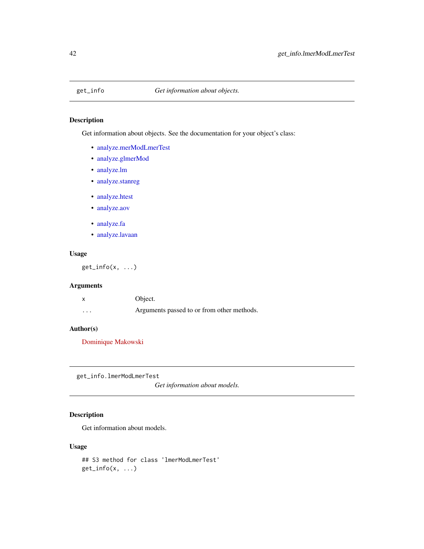# Description

Get information about objects. See the documentation for your object's class:

- [analyze.merModLmerTest](#page-12-0)
- [analyze.glmerMod](#page-8-0)
- [analyze.lm](#page-11-0)
- [analyze.stanreg](#page-11-0)
- [analyze.htest](#page-9-0)
- [analyze.aov](#page-4-0)
- [analyze.fa](#page-6-0)
- [analyze.lavaan](#page-6-0)

# Usage

 $get\_info(x, \ldots)$ 

# Arguments

|          | Object.                                    |
|----------|--------------------------------------------|
| $\cdots$ | Arguments passed to or from other methods. |

# Author(s)

[Dominique Makowski](https://dominiquemakowski.github.io/)

get\_info.lmerModLmerTest

*Get information about models.*

# Description

Get information about models.

## Usage

```
## S3 method for class 'lmerModLmerTest'
get_info(x, ...)
```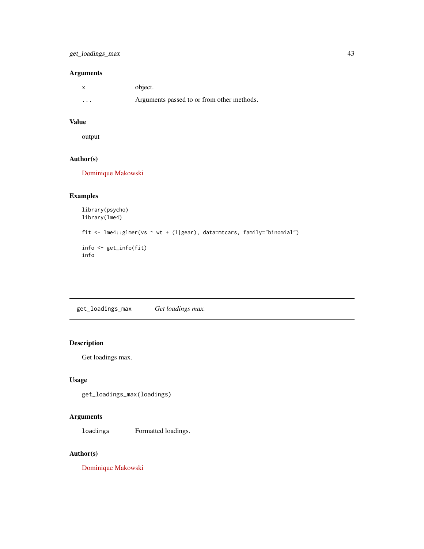# get\_loadings\_max 43

# Arguments

|          | object.                                    |
|----------|--------------------------------------------|
| $\cdots$ | Arguments passed to or from other methods. |

# Value

output

# Author(s)

[Dominique Makowski](https://dominiquemakowski.github.io/)

# Examples

```
library(psycho)
library(lme4)
fit <- lme4::glmer(vs ~ wt + (1|gear), data=mtcars, family="binomial")
info <- get_info(fit)
info
```
get\_loadings\_max *Get loadings max.*

# Description

Get loadings max.

# Usage

```
get_loadings_max(loadings)
```
# Arguments

loadings Formatted loadings.

# Author(s)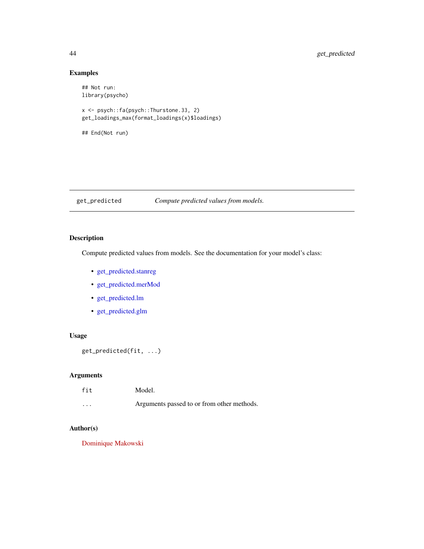# Examples

## Not run: library(psycho)

x <- psych::fa(psych::Thurstone.33, 2) get\_loadings\_max(format\_loadings(x)\$loadings)

## End(Not run)

get\_predicted *Compute predicted values from models.*

# Description

Compute predicted values from models. See the documentation for your model's class:

- [get\\_predicted.stanreg](#page-47-0)
- [get\\_predicted.merMod](#page-46-0)
- [get\\_predicted.lm](#page-45-0)
- [get\\_predicted.glm](#page-44-0)

# Usage

get\_predicted(fit, ...)

# Arguments

| fit      | Model.                                     |
|----------|--------------------------------------------|
| $\cdots$ | Arguments passed to or from other methods. |

### Author(s)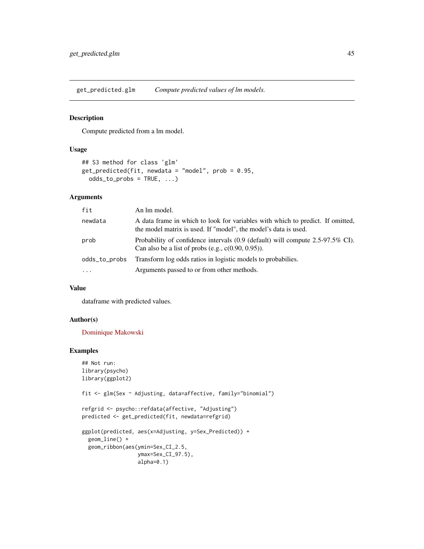<span id="page-44-0"></span>get\_predicted.glm *Compute predicted values of lm models.*

# Description

Compute predicted from a lm model.

#### Usage

```
## S3 method for class 'glm'
get_predicted(fit, newdata = "model", prob = 0.95,
 odds_to_probs = TRUE, ...)
```
#### Arguments

| fit           | An lm model.                                                                                                                                      |
|---------------|---------------------------------------------------------------------------------------------------------------------------------------------------|
| newdata       | A data frame in which to look for variables with which to predict. If omitted,<br>the model matrix is used. If "model", the model's data is used. |
| prob          | Probability of confidence intervals (0.9 (default) will compute 2.5-97.5% CI).<br>Can also be a list of probs (e.g., $c(0.90, 0.95)$ ).           |
| odds_to_probs | Transform log odds ratios in logistic models to probabilies.                                                                                      |
| $\ddotsc$     | Arguments passed to or from other methods.                                                                                                        |

# Value

dataframe with predicted values.

#### Author(s)

[Dominique Makowski](https://dominiquemakowski.github.io/)

# Examples

```
## Not run:
library(psycho)
library(ggplot2)
fit <- glm(Sex ~ Adjusting, data=affective, family="binomial")
refgrid <- psycho::refdata(affective, "Adjusting")
predicted <- get_predicted(fit, newdata=refgrid)
ggplot(predicted, aes(x=Adjusting, y=Sex_Predicted)) +
  geom_line() +
  geom_ribbon(aes(ymin=Sex_CI_2.5,
                  ymax=Sex_CI_97.5),
                  alpha=0.1)
```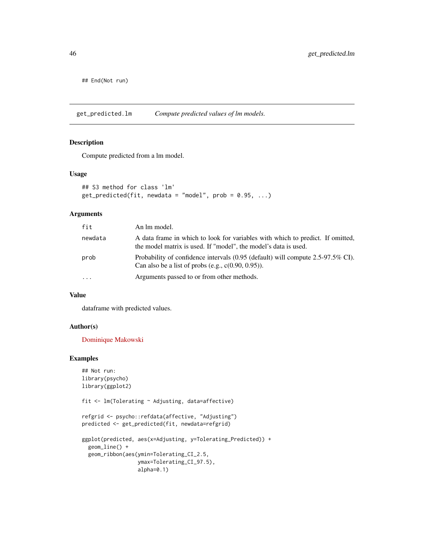## End(Not run)

<span id="page-45-0"></span>get\_predicted.lm *Compute predicted values of lm models.*

### Description

Compute predicted from a lm model.

#### Usage

```
## S3 method for class 'lm'
get\_predicted(fit, newdata = "model", prob = 0.95, ...)
```
# Arguments

| fit      | An lm model.                                                                                                                                      |
|----------|---------------------------------------------------------------------------------------------------------------------------------------------------|
| newdata  | A data frame in which to look for variables with which to predict. If omitted,<br>the model matrix is used. If "model", the model's data is used. |
| prob     | Probability of confidence intervals (0.95 (default) will compute 2.5-97.5% CI).<br>Can also be a list of probs (e.g., $c(0.90, 0.95)$ ).          |
| $\cdots$ | Arguments passed to or from other methods.                                                                                                        |

### Value

dataframe with predicted values.

#### Author(s)

[Dominique Makowski](https://dominiquemakowski.github.io/)

### Examples

```
## Not run:
library(psycho)
library(ggplot2)
fit <- lm(Tolerating ~ Adjusting, data=affective)
refgrid <- psycho::refdata(affective, "Adjusting")
predicted <- get_predicted(fit, newdata=refgrid)
```

```
ggplot(predicted, aes(x=Adjusting, y=Tolerating_Predicted)) +
  geom_line() +
  geom_ribbon(aes(ymin=Tolerating_CI_2.5,
                  ymax=Tolerating_CI_97.5),
                  alpha=0.1)
```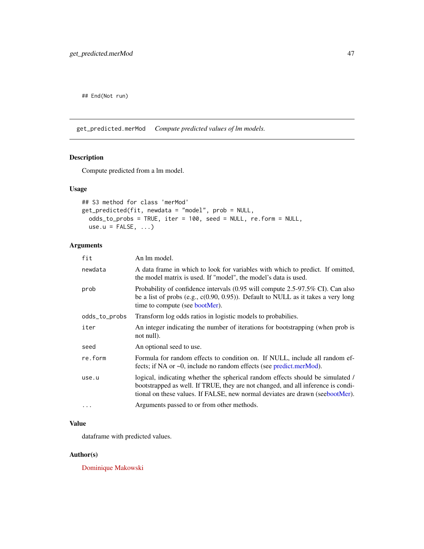## End(Not run)

<span id="page-46-0"></span>get\_predicted.merMod *Compute predicted values of lm models.*

# Description

Compute predicted from a lm model.

# Usage

```
## S3 method for class 'merMod'
get_predicted(fit, newdata = "model", prob = NULL,
 odds_to_probs = TRUE, iter = 100, seed = NULL, re.form = NULL,
 use.u = FALSE, ...)
```
# Arguments

| fit           | An lm model.                                                                                                                                                                                                                                        |
|---------------|-----------------------------------------------------------------------------------------------------------------------------------------------------------------------------------------------------------------------------------------------------|
| newdata       | A data frame in which to look for variables with which to predict. If omitted,<br>the model matrix is used. If "model", the model's data is used.                                                                                                   |
| prob          | Probability of confidence intervals (0.95 will compute 2.5-97.5% CI). Can also<br>be a list of probs (e.g., $c(0.90, 0.95)$ ). Default to NULL as it takes a very long<br>time to compute (see bootMer).                                            |
| odds_to_probs | Transform log odds ratios in logistic models to probabilies.                                                                                                                                                                                        |
| iter          | An integer indicating the number of iterations for bootstrapping (when prob is<br>not null).                                                                                                                                                        |
| seed          | An optional seed to use.                                                                                                                                                                                                                            |
| re.form       | Formula for random effects to condition on. If NULL, include all random ef-<br>fects; if NA or $\sim$ 0, include no random effects (see predict.merMod).                                                                                            |
| use.u         | logical, indicating whether the spherical random effects should be simulated /<br>bootstrapped as well. If TRUE, they are not changed, and all inference is condi-<br>tional on these values. If FALSE, new normal deviates are drawn (seebootMer). |
| $\ddotsc$     | Arguments passed to or from other methods.                                                                                                                                                                                                          |

# Value

dataframe with predicted values.

#### Author(s)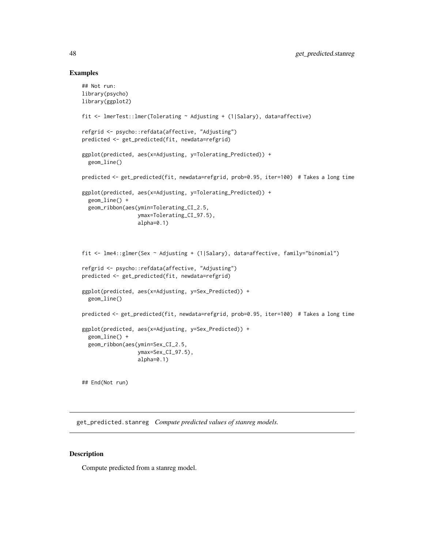#### Examples

```
## Not run:
library(psycho)
library(ggplot2)
fit <- lmerTest::lmer(Tolerating ~ Adjusting + (1|Salary), data=affective)
refgrid <- psycho::refdata(affective, "Adjusting")
predicted <- get_predicted(fit, newdata=refgrid)
ggplot(predicted, aes(x=Adjusting, y=Tolerating_Predicted)) +
  geom_line()
predicted <- get_predicted(fit, newdata=refgrid, prob=0.95, iter=100) # Takes a long time
ggplot(predicted, aes(x=Adjusting, y=Tolerating_Predicted)) +
  geom_line() +
  geom_ribbon(aes(ymin=Tolerating_CI_2.5,
                  ymax=Tolerating_CI_97.5),
                  alpha=0.1)
fit <- lme4::glmer(Sex ~ Adjusting + (1|Salary), data=affective, family="binomial")
refgrid <- psycho::refdata(affective, "Adjusting")
predicted <- get_predicted(fit, newdata=refgrid)
ggplot(predicted, aes(x=Adjusting, y=Sex_Predicted)) +
  geom_line()
predicted <- get_predicted(fit, newdata=refgrid, prob=0.95, iter=100) # Takes a long time
ggplot(predicted, aes(x=Adjusting, y=Sex_Predicted)) +
  geom_line() +
  geom_ribbon(aes(ymin=Sex_CI_2.5,
                  ymax=Sex_CI_97.5),
                  alpha=0.1)
```
## End(Not run)

<span id="page-47-0"></span>get\_predicted.stanreg *Compute predicted values of stanreg models.*

# Description

Compute predicted from a stanreg model.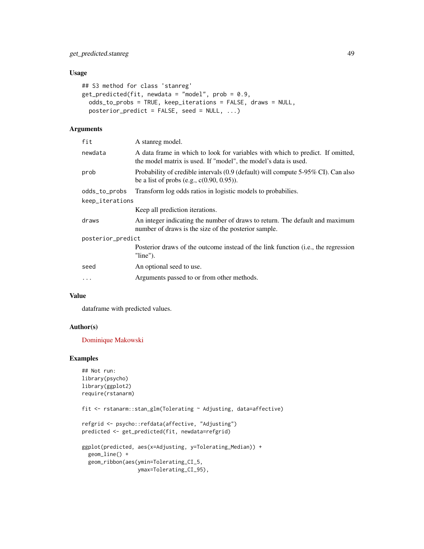# Usage

```
## S3 method for class 'stanreg'
get\_predicted(fit, newdata = "model", prob = 0.9,odds_to_probs = TRUE, keep_iterations = FALSE, draws = NULL,
 posterior_predict = FALSE, seed = NULL, ...)
```
# Arguments

| fit               | A stanreg model.                                                                                                                                  |  |
|-------------------|---------------------------------------------------------------------------------------------------------------------------------------------------|--|
| newdata           | A data frame in which to look for variables with which to predict. If omitted,<br>the model matrix is used. If "model", the model's data is used. |  |
| prob              | Probability of credible intervals (0.9 (default) will compute 5-95% CI). Can also<br>be a list of probs (e.g., $c(0.90, 0.95)$ ).                 |  |
| odds_to_probs     | Transform log odds ratios in logistic models to probabilies.                                                                                      |  |
| keep_iterations   |                                                                                                                                                   |  |
|                   | Keep all prediction iterations.                                                                                                                   |  |
| draws             | An integer indicating the number of draws to return. The default and maximum<br>number of draws is the size of the posterior sample.              |  |
| posterior_predict |                                                                                                                                                   |  |
|                   | Posterior draws of the outcome instead of the link function (i.e., the regression<br>$"line")$ .                                                  |  |
| seed              | An optional seed to use.                                                                                                                          |  |
| $\ddots$          | Arguments passed to or from other methods.                                                                                                        |  |
|                   |                                                                                                                                                   |  |

### Value

dataframe with predicted values.

#### Author(s)

[Dominique Makowski](https://dominiquemakowski.github.io/)

### Examples

```
## Not run:
library(psycho)
library(ggplot2)
require(rstanarm)
```
fit <- rstanarm::stan\_glm(Tolerating ~ Adjusting, data=affective)

```
refgrid <- psycho::refdata(affective, "Adjusting")
predicted <- get_predicted(fit, newdata=refgrid)
```

```
ggplot(predicted, aes(x=Adjusting, y=Tolerating_Median)) +
  geom_line() +
  geom_ribbon(aes(ymin=Tolerating_CI_5,
                 ymax=Tolerating_CI_95),
```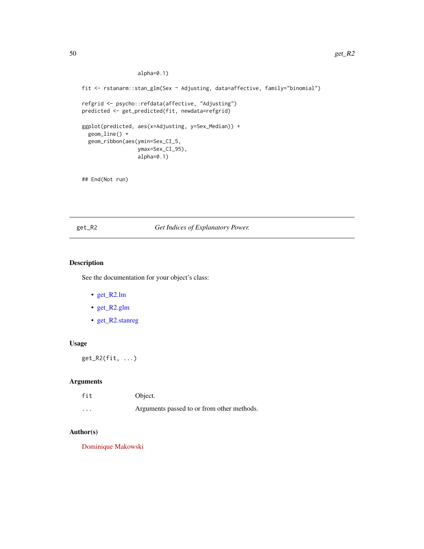#### alpha=0.1)

```
fit <- rstanarm::stan_glm(Sex ~ Adjusting, data=affective, family="binomial")
refgrid <- psycho::refdata(affective, "Adjusting")
predicted <- get_predicted(fit, newdata=refgrid)
ggplot(predicted, aes(x=Adjusting, y=Sex_Median)) +
  geom_line() +
  geom_ribbon(aes(ymin=Sex_CI_5,
                  ymax=Sex_CI_95),
                  alpha=0.1)
```
## End(Not run)

# get\_R2 *Get Indices of Explanatory Power.*

# Description

See the documentation for your object's class:

- [get\\_R2.lm](#page-50-0)
- [get\\_R2.glm](#page-50-1)
- [get\\_R2.stanreg](#page-52-0)

# Usage

get\_R2(fit, ...)

#### Arguments

| fit      | Object.                                    |
|----------|--------------------------------------------|
| $\cdots$ | Arguments passed to or from other methods. |

# Author(s)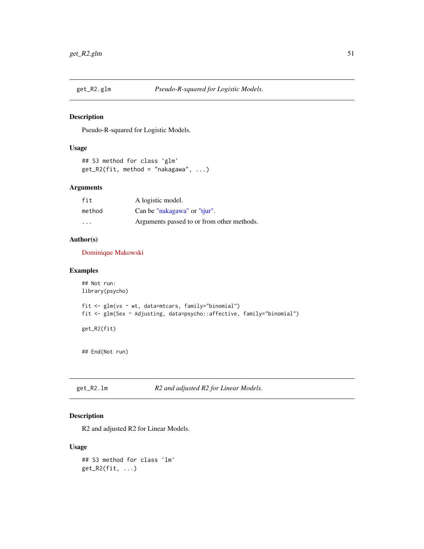<span id="page-50-1"></span>

#### Description

Pseudo-R-squared for Logistic Models.

# Usage

```
## S3 method for class 'glm'
get_R2(fit, method = "nakagawa", ...)
```
# Arguments

| fit    | A logistic model.                          |
|--------|--------------------------------------------|
| method | Can be "nakagawa" or "tjur".               |
| .      | Arguments passed to or from other methods. |

### Author(s)

[Dominique Makowski](https://dominiquemakowski.github.io/)

# Examples

```
## Not run:
library(psycho)
fit <- glm(vs ~ wt, data=mtcars, family="binomial")
fit <- glm(Sex ~ Adjusting, data=psycho::affective, family="binomial")
get_R2(fit)
## End(Not run)
```
<span id="page-50-0"></span>get\_R2.lm *R2 and adjusted R2 for Linear Models.*

# Description

R2 and adjusted R2 for Linear Models.

## Usage

```
## S3 method for class 'lm'
get_R2(fit, ...)
```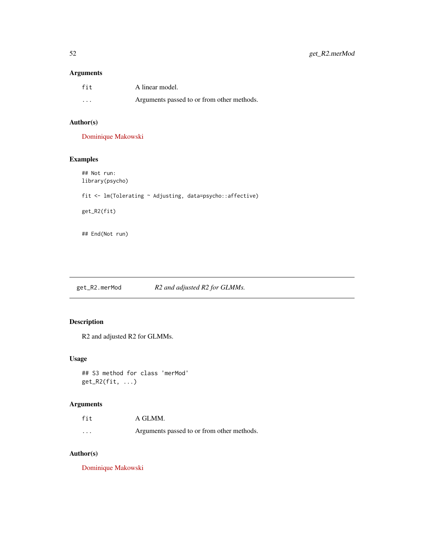# Arguments

| fit      | A linear model.                            |
|----------|--------------------------------------------|
| $\cdots$ | Arguments passed to or from other methods. |

# Author(s)

[Dominique Makowski](https://dominiquemakowski.github.io/)

# Examples

## Not run: library(psycho) fit <- lm(Tolerating ~ Adjusting, data=psycho::affective) get\_R2(fit)

## End(Not run)

get\_R2.merMod *R2 and adjusted R2 for GLMMs.*

# Description

R2 and adjusted R2 for GLMMs.

### Usage

## S3 method for class 'merMod' get\_R2(fit, ...)

#### Arguments

| fit      | A GLMM.                                    |
|----------|--------------------------------------------|
| $\cdots$ | Arguments passed to or from other methods. |

# Author(s)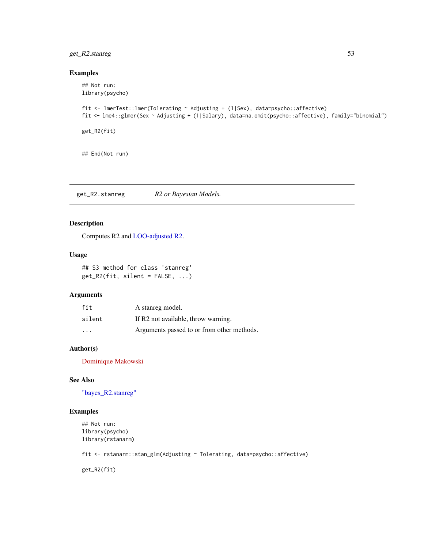# get\_R2.stanreg 53

### Examples

```
## Not run:
library(psycho)
fit <- lmerTest::lmer(Tolerating ~ Adjusting + (1|Sex), data=psycho::affective)
fit <- lme4::glmer(Sex ~ Adjusting + (1|Salary), data=na.omit(psycho::affective), family="binomial")
get_R2(fit)
```
## End(Not run)

<span id="page-52-0"></span>get\_R2.stanreg *R2 or Bayesian Models.*

# Description

Computes R2 and [LOO-adjusted R2.](#page-74-0)

## Usage

## S3 method for class 'stanreg'  $get_R2(fit, silent = FALSE, ...)$ 

### Arguments

| fit                     | A stanreg model.                           |
|-------------------------|--------------------------------------------|
| silent                  | If R2 not available, throw warning.        |
| $\cdot$ $\cdot$ $\cdot$ | Arguments passed to or from other methods. |

# Author(s)

[Dominique Makowski](https://dominiquemakowski.github.io/)

# See Also

["bayes\\_R2.stanreg"](#page-0-0)

# Examples

```
## Not run:
library(psycho)
library(rstanarm)
```
fit <- rstanarm::stan\_glm(Adjusting ~ Tolerating, data=psycho::affective)

get\_R2(fit)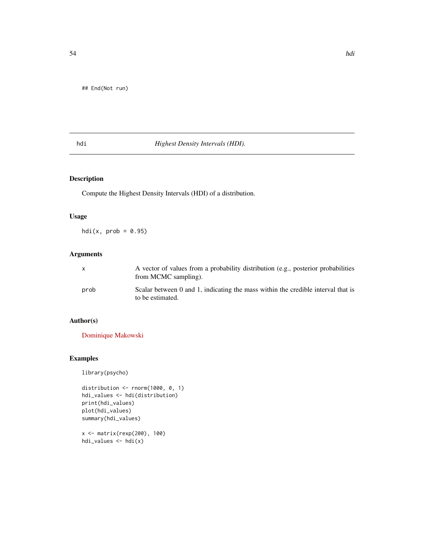# hdi *Highest Density Intervals (HDI).*

# Description

Compute the Highest Density Intervals (HDI) of a distribution.

# Usage

 $hdi(x, prob = 0.95)$ 

# Arguments

| X    | A vector of values from a probability distribution (e.g., posterior probabilities<br>from MCMC sampling). |
|------|-----------------------------------------------------------------------------------------------------------|
| prob | Scalar between 0 and 1, indicating the mass within the credible interval that is<br>to be estimated.      |

# Author(s)

[Dominique Makowski](https://dominiquemakowski.github.io/)

# Examples

library(psycho)

```
distribution <- rnorm(1000, 0, 1)
hdi_values <- hdi(distribution)
print(hdi_values)
plot(hdi_values)
summary(hdi_values)
```

```
x <- matrix(rexp(200), 100)
hdi_values <- hdi(x)
```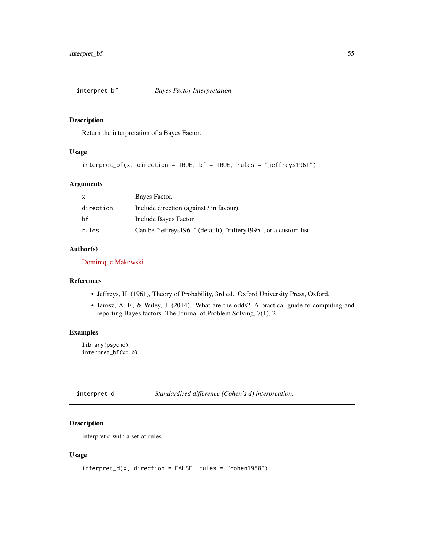#### Description

Return the interpretation of a Bayes Factor.

#### Usage

```
interpret_bf(x, direction = TRUE, bf = TRUE, rules = "jeffreys1961")
```
### Arguments

| $\mathsf{x}$ | Bayes Factor.                                                     |
|--------------|-------------------------------------------------------------------|
| direction    | Include direction (against / in favour).                          |
| bf           | Include Bayes Factor.                                             |
| rules        | Can be "jeffreys1961" (default), "raftery1995", or a custom list. |

# Author(s)

[Dominique Makowski](https://dominiquemakowski.github.io/)

#### References

- Jeffreys, H. (1961), Theory of Probability, 3rd ed., Oxford University Press, Oxford.
- Jarosz, A. F., & Wiley, J. (2014). What are the odds? A practical guide to computing and reporting Bayes factors. The Journal of Problem Solving, 7(1), 2.

#### Examples

library(psycho) interpret\_bf(x=10)

interpret\_d *Standardized difference (Cohen's d) interpreation.*

# Description

Interpret d with a set of rules.

#### Usage

```
interpret_d(x, direction = FALSE, rules = "cohen1988")
```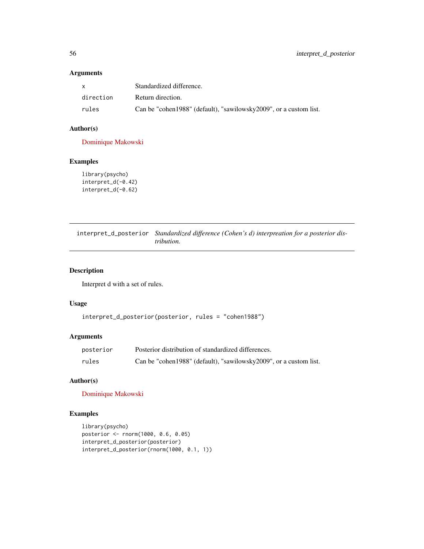# Arguments

| X         | Standardized difference.                                            |
|-----------|---------------------------------------------------------------------|
| direction | Return direction.                                                   |
| rules     | Can be "cohen 1988" (default), "sawilowsky 2009", or a custom list. |

# Author(s)

[Dominique Makowski](https://dominiquemakowski.github.io/)

# Examples

```
library(psycho)
interpret_d(-0.42)
interpret_d(-0.62)
```
interpret\_d\_posterior *Standardized difference (Cohen's d) interpreation for a posterior distribution.*

# Description

Interpret d with a set of rules.

#### Usage

```
interpret_d_posterior(posterior, rules = "cohen1988")
```
## Arguments

| posterior | Posterior distribution of standardized differences.               |
|-----------|-------------------------------------------------------------------|
| rules     | Can be "cohen1988" (default), "sawilowsky2009", or a custom list. |

# Author(s)

[Dominique Makowski](https://dominiquemakowski.github.io/)

# Examples

```
library(psycho)
posterior <- rnorm(1000, 0.6, 0.05)
interpret_d_posterior(posterior)
interpret_d_posterior(rnorm(1000, 0.1, 1))
```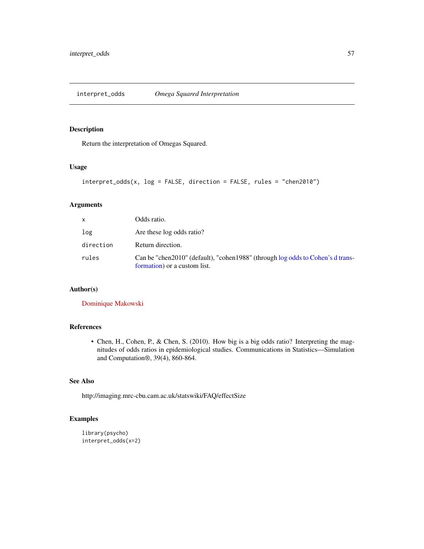interpret\_odds *Omega Squared Interpretation*

# Description

Return the interpretation of Omegas Squared.

#### Usage

```
interpret_odds(x, log = FALSE, direction = FALSE, rules = "chen2010")
```
# Arguments

| x         | Odds ratio.                                                                                                    |
|-----------|----------------------------------------------------------------------------------------------------------------|
| log       | Are these log odds ratio?                                                                                      |
| direction | Return direction.                                                                                              |
| rules     | Can be "chen2010" (default), "cohen1988" (through log odds to Cohen's d trans-<br>formation) or a custom list. |

### Author(s)

[Dominique Makowski](https://dominiquemakowski.github.io/)

# References

• Chen, H., Cohen, P., & Chen, S. (2010). How big is a big odds ratio? Interpreting the magnitudes of odds ratios in epidemiological studies. Communications in Statistics—Simulation and Computation®, 39(4), 860-864.

# See Also

http://imaging.mrc-cbu.cam.ac.uk/statswiki/FAQ/effectSize

# Examples

```
library(psycho)
interpret_odds(x=2)
```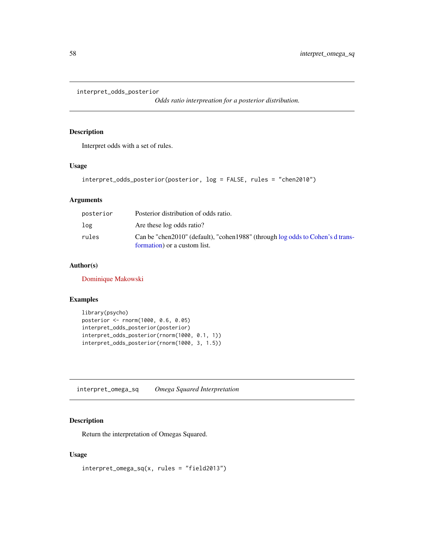```
interpret_odds_posterior
```
*Odds ratio interpreation for a posterior distribution.*

## Description

Interpret odds with a set of rules.

### Usage

```
interpret_odds_posterior(posterior, log = FALSE, rules = "chen2010")
```
# Arguments

| posterior | Posterior distribution of odds ratio.                                                                          |
|-----------|----------------------------------------------------------------------------------------------------------------|
| log       | Are these log odds ratio?                                                                                      |
| rules     | Can be "chen2010" (default), "cohen1988" (through log odds to Cohen's d trans-<br>formation) or a custom list. |

#### Author(s)

[Dominique Makowski](https://dominiquemakowski.github.io/)

### Examples

```
library(psycho)
posterior <- rnorm(1000, 0.6, 0.05)
interpret_odds_posterior(posterior)
interpret_odds_posterior(rnorm(1000, 0.1, 1))
interpret_odds_posterior(rnorm(1000, 3, 1.5))
```
interpret\_omega\_sq *Omega Squared Interpretation*

#### Description

Return the interpretation of Omegas Squared.

## Usage

```
interpret_omega_sq(x, rules = "field2013")
```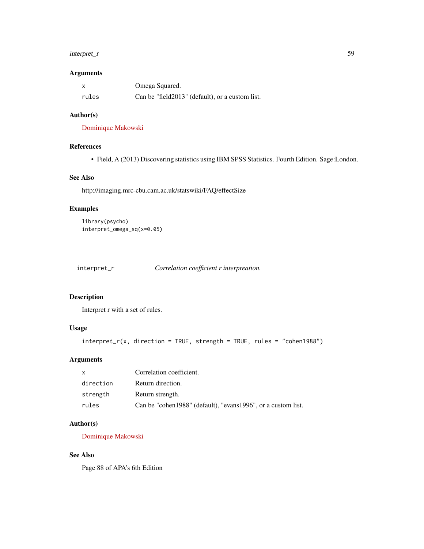# interpret\_r 59

#### Arguments

|       | Omega Squared.                                   |
|-------|--------------------------------------------------|
| rules | Can be "field 2013" (default), or a custom list. |

### Author(s)

[Dominique Makowski](https://dominiquemakowski.github.io/)

#### References

• Field, A (2013) Discovering statistics using IBM SPSS Statistics. Fourth Edition. Sage:London.

#### See Also

http://imaging.mrc-cbu.cam.ac.uk/statswiki/FAQ/effectSize

# Examples

```
library(psycho)
interpret_omega_sq(x=0.05)
```
interpret\_r *Correlation coefficient r interpreation.*

# Description

Interpret r with a set of rules.

# Usage

```
interpret_r(x, direction = TRUE, strength = TRUE, rules = "cohen1988")
```
### Arguments

| X         | Correlation coefficient.                                     |
|-----------|--------------------------------------------------------------|
| direction | Return direction.                                            |
| strength  | Return strength.                                             |
| rules     | Can be "cohen1988" (default), "evans1996", or a custom list. |

# Author(s)

[Dominique Makowski](https://dominiquemakowski.github.io/)

## See Also

Page 88 of APA's 6th Edition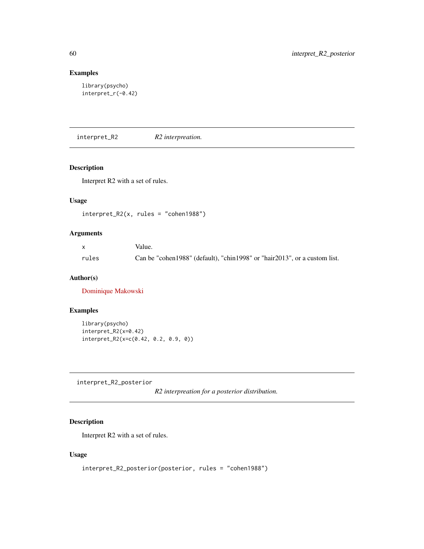# Examples

```
library(psycho)
interpret_r(-0.42)
```
interpret\_R2 *R2 interpreation.*

# Description

Interpret R2 with a set of rules.

# Usage

 $interpret_R2(x, rules = "cohen1988")$ 

# Arguments

| $\mathsf{x}$ | Value.                                                                    |
|--------------|---------------------------------------------------------------------------|
| rules        | Can be "cohen1988" (default), "chin1998" or "hair2013", or a custom list. |

# Author(s)

[Dominique Makowski](https://dominiquemakowski.github.io/)

## Examples

```
library(psycho)
interpret_R2(x=0.42)
interpret_R2(x=c(0.42, 0.2, 0.9, 0))
```
interpret\_R2\_posterior

*R2 interpreation for a posterior distribution.*

# Description

Interpret R2 with a set of rules.

# Usage

interpret\_R2\_posterior(posterior, rules = "cohen1988")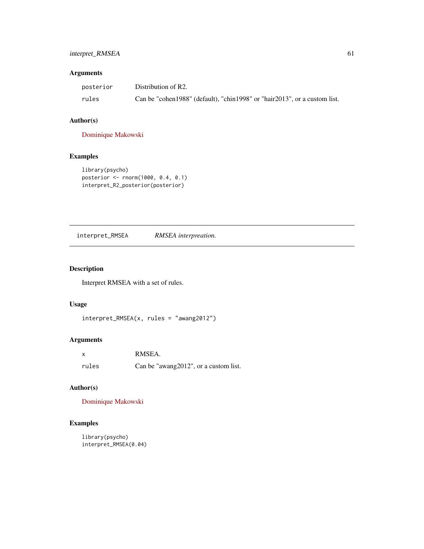# interpret\_RMSEA 61

# Arguments

| posterior | Distribution of R2.                                                       |
|-----------|---------------------------------------------------------------------------|
| rules     | Can be "cohen1988" (default), "chin1998" or "hair2013", or a custom list. |

# Author(s)

[Dominique Makowski](https://dominiquemakowski.github.io/)

# Examples

```
library(psycho)
posterior <- rnorm(1000, 0.4, 0.1)
interpret_R2_posterior(posterior)
```
interpret\_RMSEA *RMSEA interpreation.*

# Description

Interpret RMSEA with a set of rules.

# Usage

```
interpret_RMSEA(x, rules = "awang2012")
```
# Arguments

|       | RMSEA.                                |
|-------|---------------------------------------|
| rules | Can be "awang2012", or a custom list. |

# Author(s)

[Dominique Makowski](https://dominiquemakowski.github.io/)

# Examples

```
library(psycho)
interpret_RMSEA(0.04)
```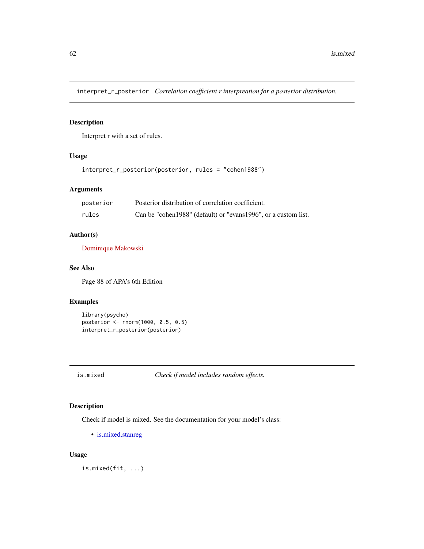interpret\_r\_posterior *Correlation coefficient r interpreation for a posterior distribution.*

### Description

Interpret r with a set of rules.

# Usage

```
interpret_r_posterior(posterior, rules = "cohen1988")
```
# Arguments

| posterior | Posterior distribution of correlation coefficient.               |
|-----------|------------------------------------------------------------------|
| rules     | Can be "cohen 1988" (default) or "evans 1996", or a custom list. |

# Author(s)

[Dominique Makowski](https://dominiquemakowski.github.io/)

# See Also

Page 88 of APA's 6th Edition

# Examples

```
library(psycho)
posterior <- rnorm(1000, 0.5, 0.5)
interpret_r_posterior(posterior)
```
is.mixed *Check if model includes random effects.*

# Description

Check if model is mixed. See the documentation for your model's class:

• [is.mixed.stanreg](#page-62-0)

## Usage

is.mixed(fit, ...)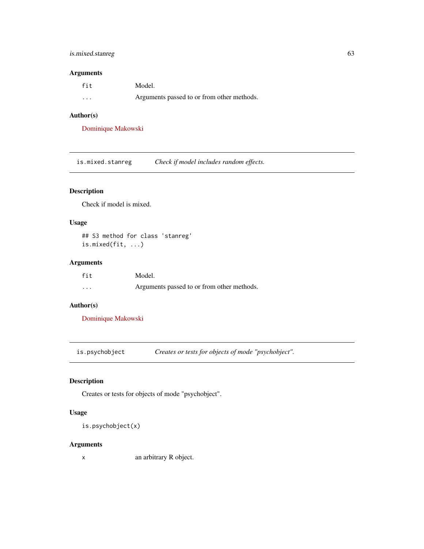# is.mixed.stanreg 63

# Arguments

| fit     | Model.                                     |
|---------|--------------------------------------------|
| $\cdot$ | Arguments passed to or from other methods. |

### Author(s)

[Dominique Makowski](https://dominiquemakowski.github.io/)

<span id="page-62-0"></span>is.mixed.stanreg *Check if model includes random effects.*

# Description

Check if model is mixed.

### Usage

## S3 method for class 'stanreg' is.mixed(fit, ...)

# Arguments

| fit     | Model.                                     |
|---------|--------------------------------------------|
| $\cdot$ | Arguments passed to or from other methods. |

# Author(s)

[Dominique Makowski](https://dominiquemakowski.github.io/)

is.psychobject *Creates or tests for objects of mode "psychobject".*

# Description

Creates or tests for objects of mode "psychobject".

# Usage

is.psychobject(x)

#### Arguments

x an arbitrary R object.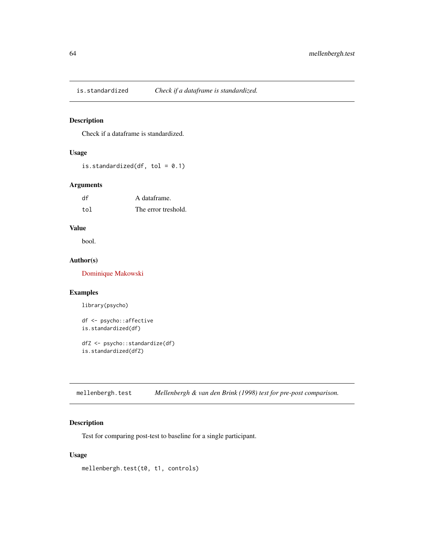# Description

Check if a dataframe is standardized.

# Usage

is.standardized(df, tol =  $0.1$ )

# Arguments

| df  | A dataframe.        |
|-----|---------------------|
| tol | The error treshold. |

# Value

bool.

# Author(s)

[Dominique Makowski](https://dominiquemakowski.github.io/)

#### Examples

library(psycho)

```
df <- psycho::affective
is.standardized(df)
```
dfZ <- psycho::standardize(df) is.standardized(dfZ)

mellenbergh.test *Mellenbergh & van den Brink (1998) test for pre-post comparison.*

# Description

Test for comparing post-test to baseline for a single participant.

## Usage

mellenbergh.test(t0, t1, controls)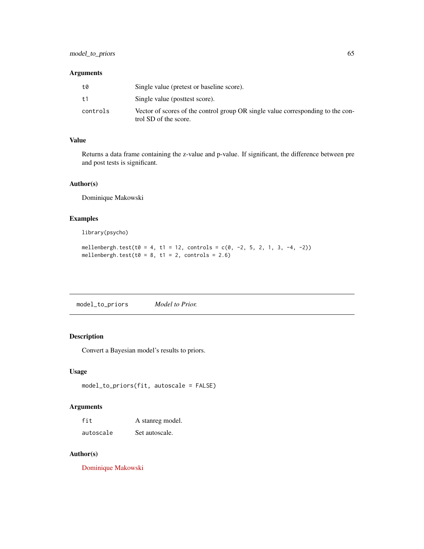#### Arguments

| t0       | Single value (pretest or baseline score).                                                                |
|----------|----------------------------------------------------------------------------------------------------------|
| t1       | Single value (posttest score).                                                                           |
| controls | Vector of scores of the control group OR single value corresponding to the con-<br>trol SD of the score. |

### Value

Returns a data frame containing the z-value and p-value. If significant, the difference between pre and post tests is significant.

### Author(s)

Dominique Makowski

# Examples

library(psycho)

mellenbergh.test(t0 = 4, t1 = 12, controls =  $c(0, -2, 5, 2, 1, 3, -4, -2)$ ) mellenbergh.test(t $0 = 8$ , t1 = 2, controls = 2.6)

model\_to\_priors *Model to Prior.*

# Description

Convert a Bayesian model's results to priors.

# Usage

```
model_to_priors(fit, autoscale = FALSE)
```
# Arguments

| fit       | A stanreg model. |
|-----------|------------------|
| autoscale | Set autoscale.   |

### Author(s)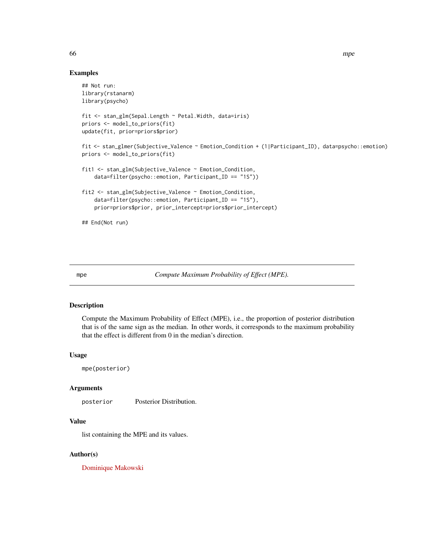#### Examples

```
## Not run:
library(rstanarm)
library(psycho)
fit <- stan_glm(Sepal.Length ~ Petal.Width, data=iris)
priors <- model_to_priors(fit)
update(fit, prior=priors$prior)
fit <- stan_glmer(Subjective_Valence ~ Emotion_Condition + (1|Participant_ID), data=psycho::emotion)
priors <- model_to_priors(fit)
fit1 <- stan_glm(Subjective_Valence ~ Emotion_Condition,
   data=filter(psycho::emotion, Participant_ID == "1S"))
fit2 <- stan_glm(Subjective_Valence ~ Emotion_Condition,
    data=filter(psycho::emotion, Participant_ID == "1S"),
   prior=priors$prior, prior_intercept=priors$prior_intercept)
## End(Not run)
```
mpe *Compute Maximum Probability of Effect (MPE)*.

#### Description

Compute the Maximum Probability of Effect (MPE), i.e., the proportion of posterior distribution that is of the same sign as the median. In other words, it corresponds to the maximum probability that the effect is different from 0 in the median's direction.

#### Usage

mpe(posterior)

#### Arguments

posterior Posterior Distribution.

## Value

list containing the MPE and its values.

### Author(s)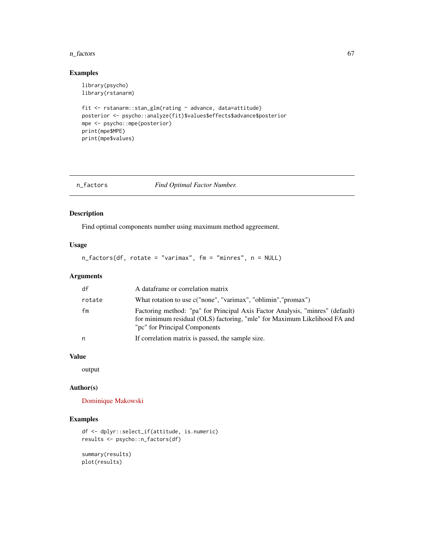#### n\_factors 67

## Examples

```
library(psycho)
library(rstanarm)
fit <- rstanarm::stan_glm(rating ~ advance, data=attitude)
posterior <- psycho::analyze(fit)$values$effects$advance$posterior
mpe <- psycho::mpe(posterior)
print(mpe$MPE)
print(mpe$values)
```

| n_factors |
|-----------|
|-----------|

#### $Find$  *Optimal Factor Number.*

# Description

Find optimal components number using maximum method aggreement.

# Usage

n\_factors(df, rotate = "varimax", fm = "minres", n = NULL)

#### Arguments

| df     | A dataframe or correlation matrix                                                                                                                                                           |
|--------|---------------------------------------------------------------------------------------------------------------------------------------------------------------------------------------------|
| rotate | What rotation to use c("none", "varimax", "oblimin", "promax")                                                                                                                              |
| fm     | Factoring method: "pa" for Principal Axis Factor Analysis, "minres" (default)<br>for minimum residual (OLS) factoring, "mle" for Maximum Likelihood FA and<br>"pc" for Principal Components |
| n      | If correlation matrix is passed, the sample size.                                                                                                                                           |

### Value

output

#### Author(s)

[Dominique Makowski](https://dominiquemakowski.github.io/)

### Examples

```
df <- dplyr::select_if(attitude, is.numeric)
results <- psycho::n_factors(df)
```
summary(results) plot(results)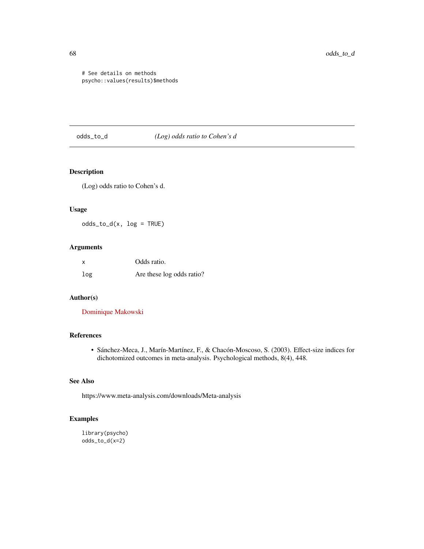# See details on methods psycho::values(results)\$methods

<span id="page-67-0"></span>odds\_to\_d *(Log) odds ratio to Cohen's d*

# Description

(Log) odds ratio to Cohen's d.

# Usage

odds\_to\_d(x, log = TRUE)

# Arguments

| X   | Odds ratio.               |
|-----|---------------------------|
| log | Are these log odds ratio? |

#### Author(s)

[Dominique Makowski](https://dominiquemakowski.github.io/)

## References

• Sánchez-Meca, J., Marín-Martínez, F., & Chacón-Moscoso, S. (2003). Effect-size indices for dichotomized outcomes in meta-analysis. Psychological methods, 8(4), 448.

# See Also

https://www.meta-analysis.com/downloads/Meta-analysis

# Examples

```
library(psycho)
odds_to_d(x=2)
```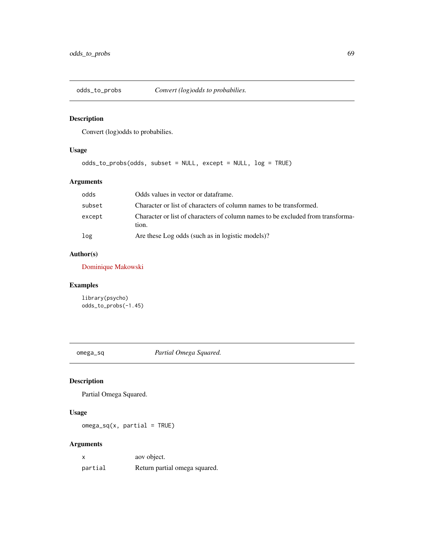# Description

Convert (log)odds to probabilies.

# Usage

```
odds_to_probs(odds, subset = NULL, except = NULL, log = TRUE)
```
# Arguments

| odds   | Odds values in vector or dataframe.                                                      |
|--------|------------------------------------------------------------------------------------------|
| subset | Character or list of characters of column names to be transformed.                       |
| except | Character or list of characters of column names to be excluded from transforma-<br>tion. |
| log    | Are these Log odds (such as in logistic models)?                                         |

# Author(s)

[Dominique Makowski](https://dominiquemakowski.github.io/)

# Examples

```
library(psycho)
odds_to_probs(-1.45)
```
omega\_sq *Partial Omega Squared.*

# Description

Partial Omega Squared.

# Usage

 $omega_s$ g(x, partial = TRUE)

# Arguments

| X       | aov object.                   |
|---------|-------------------------------|
| partial | Return partial omega squared. |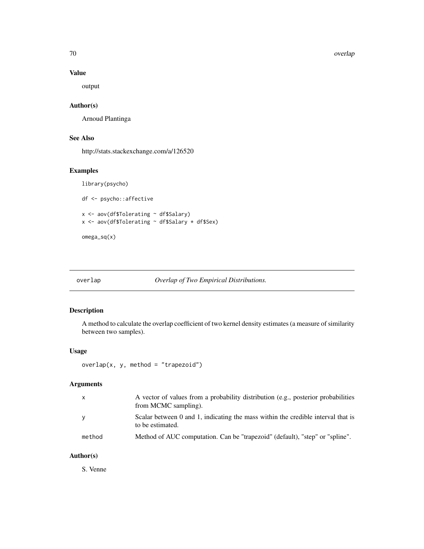70 overlap and the contract of the contract of the contract of the contract of the contract of the contract of the contract of the contract of the contract of the contract of the contract of the contract of the contract of

# Value

output

# Author(s)

Arnoud Plantinga

# See Also

http://stats.stackexchange.com/a/126520

# Examples

library(psycho)

df <- psycho::affective

```
x <- aov(df$Tolerating ~ df$Salary)
x <- aov(df$Tolerating ~ df$Salary * df$Sex)
```
omega\_sq(x)

# overlap *Overlap of Two Empirical Distributions.*

# Description

A method to calculate the overlap coefficient of two kernel density estimates (a measure of similarity between two samples).

# Usage

overlap(x, y, method = "trapezoid")

# Arguments

| $\mathsf{x}$ | A vector of values from a probability distribution (e.g., posterior probabilities<br>from MCMC sampling). |
|--------------|-----------------------------------------------------------------------------------------------------------|
| <b>V</b>     | Scalar between 0 and 1, indicating the mass within the credible interval that is<br>to be estimated.      |
| method       | Method of AUC computation. Can be "trapezoid" (default), "step" or "spline".                              |

# Author(s)

S. Venne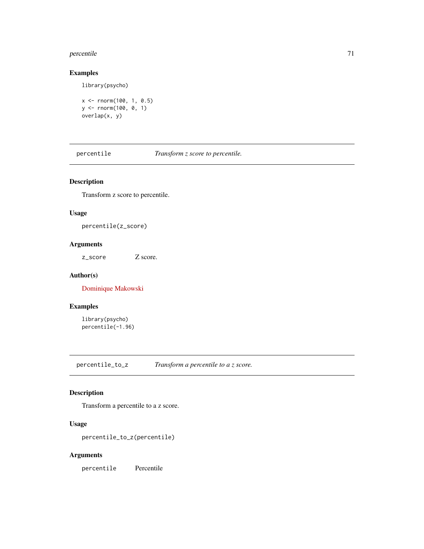#### percentile 71

### Examples

library(psycho)

```
x <- rnorm(100, 1, 0.5)
y <- rnorm(100, 0, 1)
overlap(x, y)
```
percentile *Transform z score to percentile.*

# Description

Transform z score to percentile.

# Usage

percentile(z\_score)

### Arguments

z\_score Z score.

#### Author(s)

[Dominique Makowski](https://dominiquemakowski.github.io/)

# Examples

library(psycho) percentile(-1.96)

percentile\_to\_z *Transform a percentile to a z score.*

# Description

Transform a percentile to a z score.

# Usage

percentile\_to\_z(percentile)

#### Arguments

percentile Percentile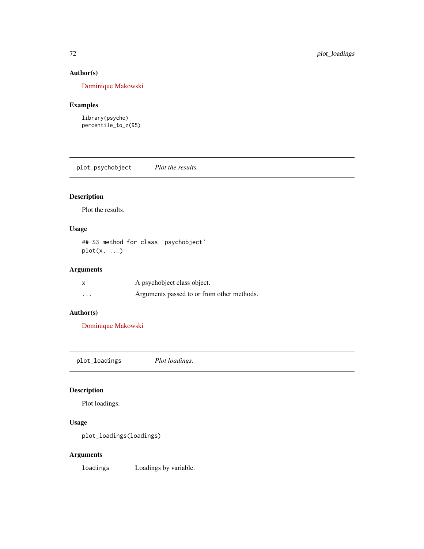# Author(s)

[Dominique Makowski](https://dominiquemakowski.github.io/)

# Examples

library(psycho) percentile\_to\_z(95)

plot.psychobject *Plot the results.*

# Description

Plot the results.

# Usage

## S3 method for class 'psychobject' plot(x, ...)

# Arguments

|                         | A psychobiect class object.                |
|-------------------------|--------------------------------------------|
| $\cdot$ $\cdot$ $\cdot$ | Arguments passed to or from other methods. |

# Author(s)

[Dominique Makowski](https://dominiquemakowski.github.io/)

plot\_loadings *Plot loadings.*

# Description

Plot loadings.

# Usage

```
plot_loadings(loadings)
```
# Arguments

loadings Loadings by variable.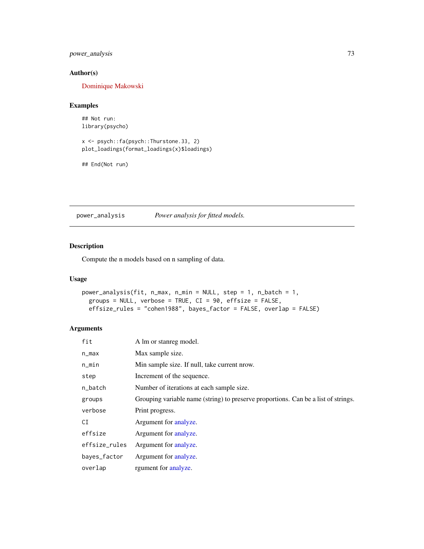# <span id="page-72-0"></span>power\_analysis 73

#### Author(s)

[Dominique Makowski](https://dominiquemakowski.github.io/)

#### Examples

## Not run: library(psycho)

```
x <- psych::fa(psych::Thurstone.33, 2)
plot_loadings(format_loadings(x)$loadings)
```

```
## End(Not run)
```
power\_analysis *Power analysis for fitted models.*

# Description

Compute the n models based on n sampling of data.

#### Usage

```
power_analysis(fit, n_max, n_min = NULL, step = 1, n_batch = 1,
 groups = NULL, verbose = TRUE, CI = 90, effsize = FALSE,
 effsize_rules = "cohen1988", bayes_factor = FALSE, overlap = FALSE)
```
# Arguments

| fit           | A lm or stanreg model.                                                             |
|---------------|------------------------------------------------------------------------------------|
| n_max         | Max sample size.                                                                   |
| $n$ _min      | Min sample size. If null, take current nrow.                                       |
| step          | Increment of the sequence.                                                         |
| n_batch       | Number of iterations at each sample size.                                          |
| groups        | Grouping variable name (string) to preserve proportions. Can be a list of strings. |
| verbose       | Print progress.                                                                    |
| CI            | Argument for analyze.                                                              |
| effsize       | Argument for analyze.                                                              |
| effsize_rules | Argument for analyze.                                                              |
| bayes_factor  | Argument for analyze.                                                              |
| overlap       | rgument for analyze.                                                               |
|               |                                                                                    |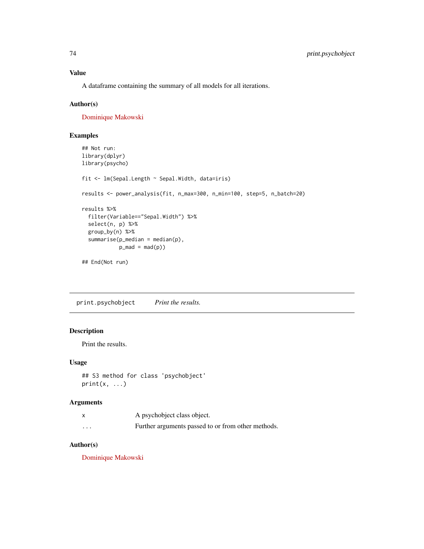# <span id="page-73-0"></span>Value

A dataframe containing the summary of all models for all iterations.

#### Author(s)

[Dominique Makowski](https://dominiquemakowski.github.io/)

# Examples

```
## Not run:
library(dplyr)
library(psycho)
fit <- lm(Sepal.Length ~ Sepal.Width, data=iris)
results <- power_analysis(fit, n_max=300, n_min=100, step=5, n_batch=20)
results %>%
  filter(Variable=="Sepal.Width") %>%
  select(n, p) %>%
  group_by(n) %>%
  summarise(p_{modelan} = median(p),p_{mod} = \text{mad}(p)## End(Not run)
```
print.psychobject *Print the results.*

#### Description

Print the results.

# Usage

```
## S3 method for class 'psychobject'
print(x, \ldots)
```
#### Arguments

|          | A psychobject class object.                        |
|----------|----------------------------------------------------|
| $\cdots$ | Further arguments passed to or from other methods. |

#### Author(s)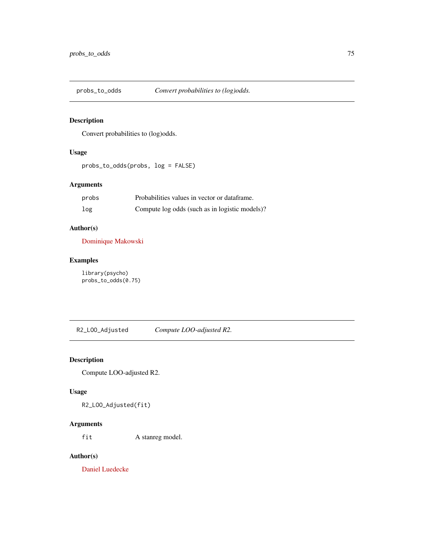<span id="page-74-0"></span>

# Description

Convert probabilities to (log)odds.

# Usage

probs\_to\_odds(probs, log = FALSE)

# Arguments

| probs | Probabilities values in vector or dataframe.   |
|-------|------------------------------------------------|
| log   | Compute log odds (such as in logistic models)? |

#### Author(s)

[Dominique Makowski](https://dominiquemakowski.github.io/)

# Examples

library(psycho) probs\_to\_odds(0.75)

R2\_LOO\_Adjusted *Compute LOO-adjusted R2.*

# Description

Compute LOO-adjusted R2.

#### Usage

R2\_LOO\_Adjusted(fit)

# Arguments

fit A stanreg model.

#### Author(s)

[Daniel Luedecke](https://github.com/strengejacke)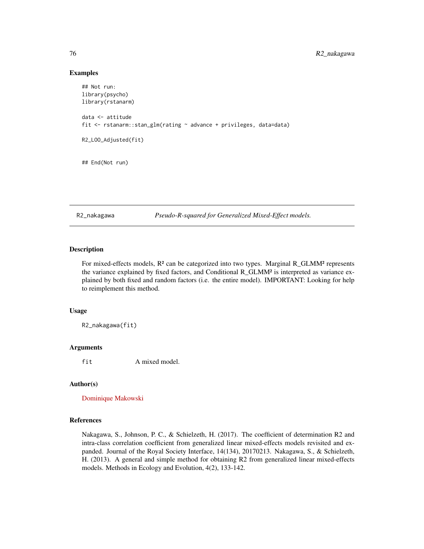#### Examples

```
## Not run:
library(psycho)
library(rstanarm)
data <- attitude
fit <- rstanarm::stan_glm(rating ~ advance + privileges, data=data)
R2_LOO_Adjusted(fit)
## End(Not run)
```
R2\_nakagawa *Pseudo-R-squared for Generalized Mixed-Effect models.*

# Description

For mixed-effects models,  $R^2$  can be categorized into two types. Marginal R\_GLMM<sup>2</sup> represents the variance explained by fixed factors, and Conditional R\_GLMM² is interpreted as variance explained by both fixed and random factors (i.e. the entire model). IMPORTANT: Looking for help to reimplement this method.

#### Usage

R2\_nakagawa(fit)

#### Arguments

fit A mixed model.

#### Author(s)

[Dominique Makowski](https://dominiquemakowski.github.io/)

#### References

Nakagawa, S., Johnson, P. C., & Schielzeth, H. (2017). The coefficient of determination R2 and intra-class correlation coefficient from generalized linear mixed-effects models revisited and expanded. Journal of the Royal Society Interface, 14(134), 20170213. Nakagawa, S., & Schielzeth, H. (2013). A general and simple method for obtaining R2 from generalized linear mixed-effects models. Methods in Ecology and Evolution, 4(2), 133-142.

<span id="page-75-0"></span>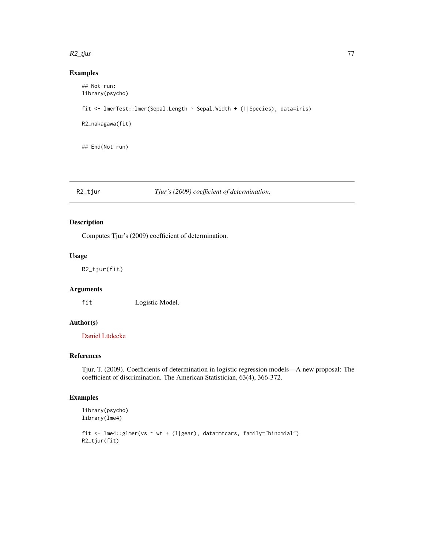#### <span id="page-76-0"></span>R2\_tjur 77

#### Examples

```
## Not run:
library(psycho)
fit <- lmerTest::lmer(Sepal.Length ~ Sepal.Width + (1|Species), data=iris)
R2_nakagawa(fit)
## End(Not run)
```
# R2\_tjur *Tjur's (2009) coefficient of determination.*

# Description

Computes Tjur's (2009) coefficient of determination.

#### Usage

R2\_tjur(fit)

# Arguments

fit Logistic Model.

# Author(s)

[Daniel Lüdecke](https://github.com/strengejacke)

# References

Tjur, T. (2009). Coefficients of determination in logistic regression models—A new proposal: The coefficient of discrimination. The American Statistician, 63(4), 366-372.

#### Examples

```
library(psycho)
library(lme4)
fit <- lme4::glmer(vs ~ wt + (1|gear), data=mtcars, family="binomial")
R2_tjur(fit)
```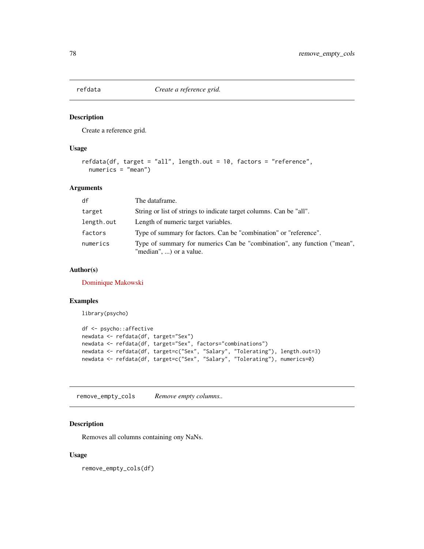<span id="page-77-0"></span>

#### Description

Create a reference grid.

# Usage

```
refdata(df, target = "all", length.out = 10, factors = "reference",
 numerics = "mean")
```
#### Arguments

| df         | The dataframe.                                                                                      |
|------------|-----------------------------------------------------------------------------------------------------|
| target     | String or list of strings to indicate target columns. Can be "all".                                 |
| length.out | Length of numeric target variables.                                                                 |
| factors    | Type of summary for factors. Can be "combination" or "reference".                                   |
| numerics   | Type of summary for numerics Can be "combination", any function ("mean",<br>"median", ) or a value. |

#### Author(s)

[Dominique Makowski](https://dominiquemakowski.github.io/)

# Examples

library(psycho)

```
df <- psycho::affective
newdata <- refdata(df, target="Sex")
newdata <- refdata(df, target="Sex", factors="combinations")
newdata <- refdata(df, target=c("Sex", "Salary", "Tolerating"), length.out=3)
newdata <- refdata(df, target=c("Sex", "Salary", "Tolerating"), numerics=0)
```
remove\_empty\_cols *Remove empty columns..*

#### Description

Removes all columns containing ony NaNs.

#### Usage

remove\_empty\_cols(df)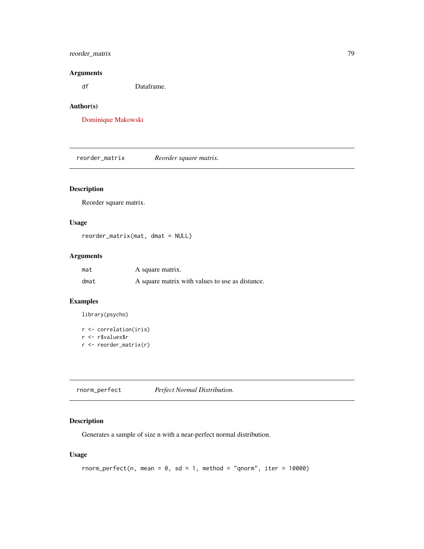# <span id="page-78-0"></span>reorder\_matrix 79

#### Arguments

df Dataframe.

# Author(s)

[Dominique Makowski](https://dominiquemakowski.github.io/)

reorder\_matrix *Reorder square matrix.*

# Description

Reorder square matrix.

#### Usage

reorder\_matrix(mat, dmat = NULL)

#### Arguments

| mat  | A square matrix.                                |
|------|-------------------------------------------------|
| dmat | A square matrix with values to use as distance. |

# Examples

library(psycho)

```
r <- correlation(iris)
r <- r$values$r
r <- reorder_matrix(r)
```
rnorm\_perfect *Perfect Normal Distribution.*

# Description

Generates a sample of size n with a near-perfect normal distribution.

# Usage

```
rnorm\_perfect(n, mean = 0, sd = 1, method = "qnorm", iter = 10000)
```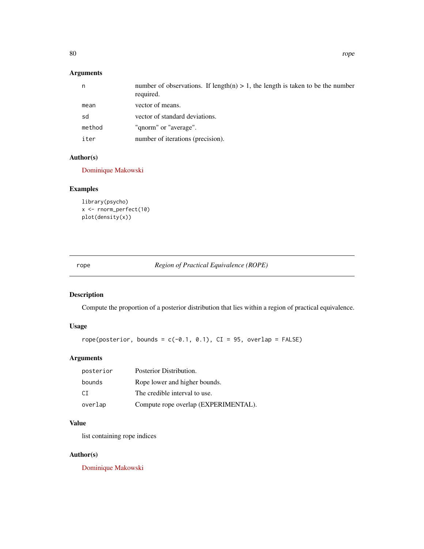# <span id="page-79-0"></span>Arguments

| n      | number of observations. If length(n) $> 1$ , the length is taken to be the number<br>required. |
|--------|------------------------------------------------------------------------------------------------|
| mean   | vector of means.                                                                               |
| sd     | vector of standard deviations.                                                                 |
| method | "qnorm" or "average".                                                                          |
| iter   | number of iterations (precision).                                                              |

# Author(s)

[Dominique Makowski](https://dominiquemakowski.github.io/)

# Examples

```
library(psycho)
x <- rnorm_perfect(10)
plot(density(x))
```
rope *Region of Practical Equivalence (ROPE)*

# Description

Compute the proportion of a posterior distribution that lies within a region of practical equivalence.

# Usage

```
rope(posterior, bounds = c(-0.1, 0.1), CI = 95, overlap = FALSE)
```
# Arguments

| posterior | Posterior Distribution.              |
|-----------|--------------------------------------|
| bounds    | Rope lower and higher bounds.        |
| CT.       | The credible interval to use.        |
| overlap   | Compute rope overlap (EXPERIMENTAL). |

# Value

list containing rope indices

# Author(s)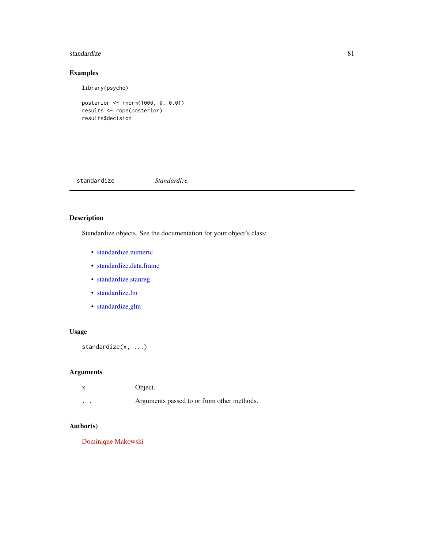#### <span id="page-80-0"></span>standardize 81

# Examples

library(psycho)

```
posterior <- rnorm(1000, 0, 0.01)
results <- rope(posterior)
results$decision
```
standardize *Standardize.*

# Description

Standardize objects. See the documentation for your object's class:

- [standardize.numeric](#page-84-0)
- [standardize.data.frame](#page-81-0)
- [standardize.stanreg](#page-84-1)
- [standardize.lm](#page-83-0)
- [standardize.glm](#page-82-0)

# Usage

standardize(x, ...)

# Arguments

| x        | Object.                                    |
|----------|--------------------------------------------|
| $\cdots$ | Arguments passed to or from other methods. |

#### Author(s)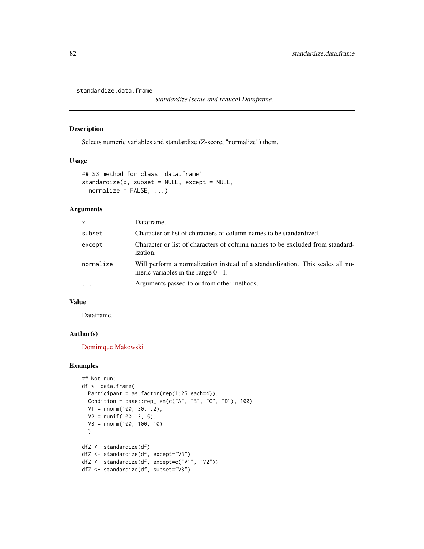<span id="page-81-1"></span><span id="page-81-0"></span>standardize.data.frame

*Standardize (scale and reduce) Dataframe.*

#### Description

Selects numeric variables and standardize (Z-score, "normalize") them.

#### Usage

```
## S3 method for class 'data.frame'
standardize(x, subset = NULL, except = NULL,normalize = FALSE, ...)
```
# Arguments

| $\mathsf{x}$ | Dataframe.                                                                                                               |
|--------------|--------------------------------------------------------------------------------------------------------------------------|
| subset       | Character or list of characters of column names to be standardized.                                                      |
| except       | Character or list of characters of column names to be excluded from standard-<br><i>ization.</i>                         |
| normalize    | Will perform a normalization instead of a standardization. This scales all nu-<br>meric variables in the range $0 - 1$ . |
|              | Arguments passed to or from other methods.                                                                               |

#### Value

Dataframe.

#### Author(s)

[Dominique Makowski](https://dominiquemakowski.github.io/)

# Examples

```
## Not run:
df <- data.frame(
 Participant = as.factor(rep(1:25,each=4)),
 Condition = base::rep_len(c("A", "B", "C", "D"), 100),
  V1 = rnorm(100, 30, .2),
  V2 = runif(100, 3, 5),
  V3 = rnorm(100, 100, 10)
  )
dfZ <- standardize(df)
dfZ <- standardize(df, except="V3")
dfZ <- standardize(df, except=c("V1", "V2"))
dfZ <- standardize(df, subset="V3")
```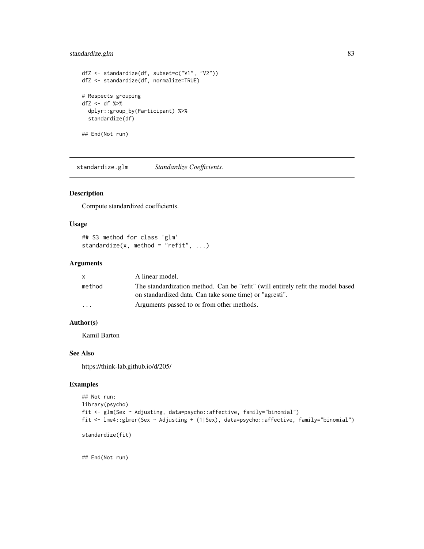# <span id="page-82-1"></span>standardize.glm 83

```
dfZ <- standardize(df, subset=c("V1", "V2"))
dfZ <- standardize(df, normalize=TRUE)
# Respects grouping
dfZ <- df %>%
  dplyr::group_by(Participant) %>%
  standardize(df)
## End(Not run)
```
<span id="page-82-0"></span>standardize.glm *Standardize Coefficients.*

#### Description

Compute standardized coefficients.

#### Usage

```
## S3 method for class 'glm'
standardize(x, method = "refit", \ldots)
```
# Arguments

|                         | A linear model.                                                                 |
|-------------------------|---------------------------------------------------------------------------------|
| method                  | The standardization method. Can be "refit" (will entirely refit the model based |
|                         | on standardized data. Can take some time) or "agresti".                         |
| $\cdot$ $\cdot$ $\cdot$ | Arguments passed to or from other methods.                                      |

# Author(s)

Kamil Barton

#### See Also

https://think-lab.github.io/d/205/

# Examples

```
## Not run:
library(psycho)
fit <- glm(Sex ~ Adjusting, data=psycho::affective, family="binomial")
fit <- lme4::glmer(Sex ~ Adjusting + (1|Sex), data=psycho::affective, family="binomial")
```
standardize(fit)

## End(Not run)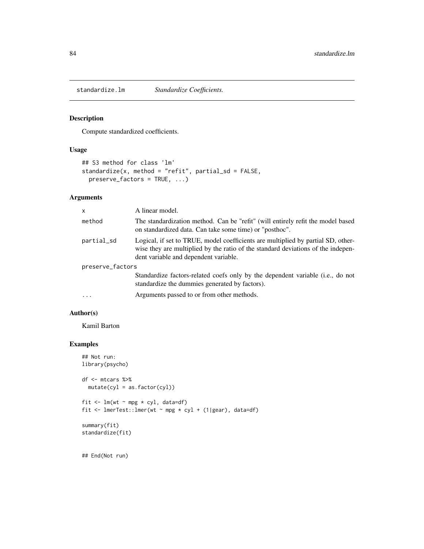<span id="page-83-1"></span><span id="page-83-0"></span>

#### Description

Compute standardized coefficients.

# Usage

```
## S3 method for class 'lm'
standardize(x, method = "refit", partial_sd = FALSE,
 preserve_factors = TRUE, ...)
```
# Arguments

| $\mathsf{x}$     | A linear model.                                                                                                                                                                                               |
|------------------|---------------------------------------------------------------------------------------------------------------------------------------------------------------------------------------------------------------|
| method           | The standardization method. Can be "refit" (will entirely refit the model based<br>on standardized data. Can take some time) or "posthoc".                                                                    |
| partial_sd       | Logical, if set to TRUE, model coefficients are multiplied by partial SD, other-<br>wise they are multiplied by the ratio of the standard deviations of the indepen-<br>dent variable and dependent variable. |
| preserve_factors |                                                                                                                                                                                                               |
|                  | Standardize factors-related coefs only by the dependent variable (i.e., do not<br>standardize the dummies generated by factors).                                                                              |
| $\cdot$          | Arguments passed to or from other methods.                                                                                                                                                                    |

# Author(s)

Kamil Barton

#### Examples

```
## Not run:
library(psycho)
df <- mtcars %>%
  mutate(cyl = as.factor(cyl))
fit \leq lm(wt \sim mpg * cyl, data=df)
fit <- lmerTest::lmer(wt ~ mpg * cyl + (1|gear), data=df)
summary(fit)
standardize(fit)
```
## End(Not run)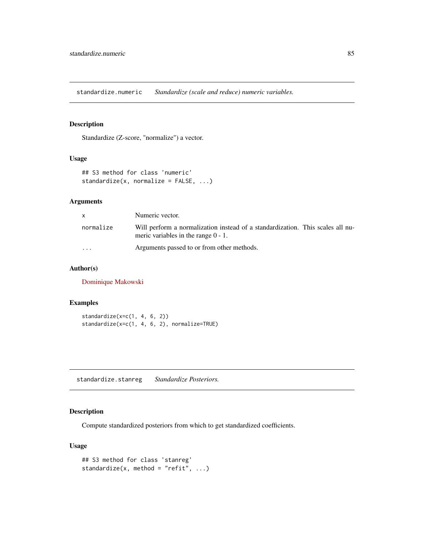<span id="page-84-2"></span><span id="page-84-0"></span>standardize.numeric *Standardize (scale and reduce) numeric variables.*

# Description

Standardize (Z-score, "normalize") a vector.

#### Usage

```
## S3 method for class 'numeric'
standardize(x, normalize = FALSE, ...)
```
# Arguments

| <b>X</b>  | Numeric vector.                                                                                                          |
|-----------|--------------------------------------------------------------------------------------------------------------------------|
| normalize | Will perform a normalization instead of a standardization. This scales all nu-<br>meric variables in the range $0 - 1$ . |
| $\cdot$   | Arguments passed to or from other methods.                                                                               |

# Author(s)

[Dominique Makowski](https://dominiquemakowski.github.io/)

#### Examples

```
standardize(x=c(1, 4, 6, 2))
standardize(x=c(1, 4, 6, 2), normalize=TRUE)
```
<span id="page-84-1"></span>standardize.stanreg *Standardize Posteriors.*

# Description

Compute standardized posteriors from which to get standardized coefficients.

# Usage

```
## S3 method for class 'stanreg'
standardize(x, method = "refit", \dots)
```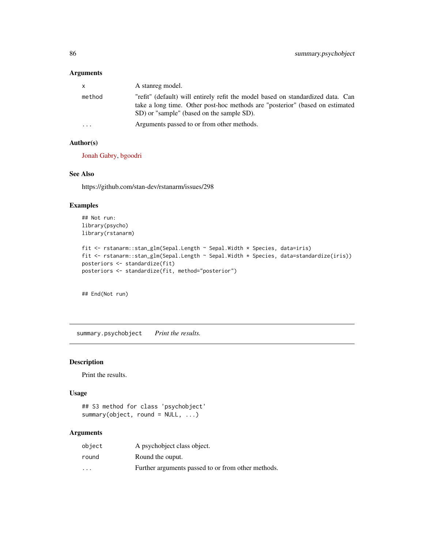#### <span id="page-85-0"></span>Arguments

| $\mathsf{x}$ | A stanreg model.                                                                                                                                                                                             |
|--------------|--------------------------------------------------------------------------------------------------------------------------------------------------------------------------------------------------------------|
| method       | "refit" (default) will entirely refit the model based on standardized data. Can<br>take a long time. Other post-hoc methods are "posterior" (based on estimated<br>SD) or "sample" (based on the sample SD). |
| $\cdots$     | Arguments passed to or from other methods.                                                                                                                                                                   |

# Author(s)

[Jonah Gabry,](https://github.com/jgabry) [bgoodri](https://github.com/bgoodri)

#### See Also

https://github.com/stan-dev/rstanarm/issues/298

# Examples

```
## Not run:
library(psycho)
library(rstanarm)
```

```
fit <- rstanarm::stan_glm(Sepal.Length ~ Sepal.Width * Species, data=iris)
fit <- rstanarm::stan_glm(Sepal.Length ~ Sepal.Width * Species, data=standardize(iris))
posteriors <- standardize(fit)
posteriors <- standardize(fit, method="posterior")
```
## End(Not run)

summary.psychobject *Print the results.*

# Description

Print the results.

#### Usage

```
## S3 method for class 'psychobject'
summary(object, round = NULL, ...)
```
#### Arguments

| object                  | A psychobiect class object.                        |
|-------------------------|----------------------------------------------------|
| round                   | Round the ouput.                                   |
| $\cdot$ $\cdot$ $\cdot$ | Further arguments passed to or from other methods. |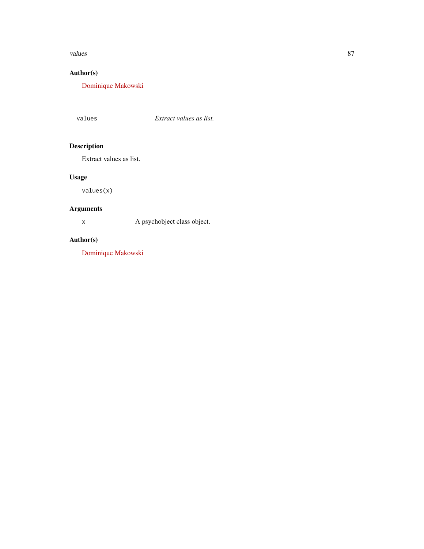#### <span id="page-86-0"></span>values 87

# Author(s)

[Dominique Makowski](https://dominiquemakowski.github.io/)

# values *Extract values as list.*

# Description

Extract values as list.

# Usage

values(x)

# Arguments

x A psychobject class object.

# Author(s)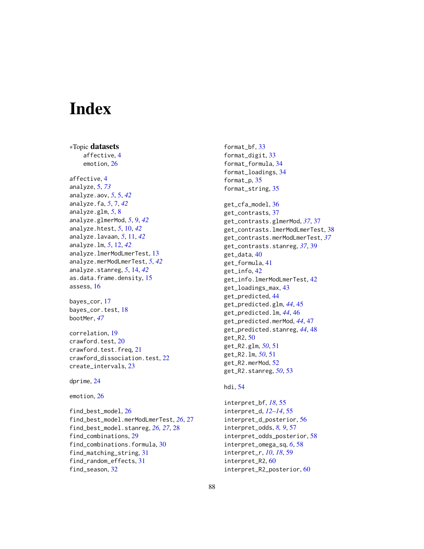# **Index**

∗Topic datasets affective, [4](#page-3-0) emotion, [26](#page-25-0) affective, [4](#page-3-0) analyze, [5,](#page-4-1) *[73](#page-72-0)* analyze.aov, *[5](#page-4-1)*, [5,](#page-4-1) *[42](#page-41-0)* analyze.fa, *[5](#page-4-1)*, [7,](#page-6-0) *[42](#page-41-0)* analyze.glm, *[5](#page-4-1)*, [8](#page-7-0) analyze.glmerMod, *[5](#page-4-1)*, [9,](#page-8-0) *[42](#page-41-0)* analyze.htest, *[5](#page-4-1)*, [10,](#page-9-0) *[42](#page-41-0)* analyze.lavaan, *[5](#page-4-1)*, [11,](#page-10-0) *[42](#page-41-0)* analyze.lm, *[5](#page-4-1)*, [12,](#page-11-0) *[42](#page-41-0)* analyze.lmerModLmerTest, [13](#page-12-0) analyze.merModLmerTest, *[5](#page-4-1)*, *[42](#page-41-0)* analyze.stanreg, *[5](#page-4-1)*, [14,](#page-13-0) *[42](#page-41-0)* as.data.frame.density, [15](#page-14-0) assess, [16](#page-15-0) bayes\_cor, [17](#page-16-0) bayes\_cor.test, [18](#page-17-0) bootMer, *[47](#page-46-0)* correlation, [19](#page-18-0) crawford.test, [20](#page-19-0) crawford.test.freq, [21](#page-20-0) crawford\_dissociation.test, [22](#page-21-0) create\_intervals, [23](#page-22-0) dprime, [24](#page-23-0) emotion, [26](#page-25-0)

find\_best\_model, [26](#page-25-0) find\_best\_model.merModLmerTest, *[26](#page-25-0)*, [27](#page-26-0) find\_best\_model.stanreg, *[26,](#page-25-0) [27](#page-26-0)*, [28](#page-27-0) find\_combinations, [29](#page-28-0) find\_combinations.formula, [30](#page-29-0) find\_matching\_string, [31](#page-30-0) find\_random\_effects, [31](#page-30-0) find\_season, [32](#page-31-0)

format\_bf, [33](#page-32-0) format\_digit, [33](#page-32-0) format\_formula, [34](#page-33-0) format\_loadings, [34](#page-33-0) format\_p, [35](#page-34-0) format\_string, [35](#page-34-0) get\_cfa\_model, [36](#page-35-0) get\_contrasts, [37](#page-36-0) get\_contrasts.glmerMod, *[37](#page-36-0)*, [37](#page-36-0) get\_contrasts.lmerModLmerTest, [38](#page-37-0) get\_contrasts.merModLmerTest, *[37](#page-36-0)* get\_contrasts.stanreg, *[37](#page-36-0)*, [39](#page-38-0) get\_data, [40](#page-39-0) get\_formula, [41](#page-40-0) get\_info, [42](#page-41-0) get\_info.lmerModLmerTest, [42](#page-41-0) get\_loadings\_max, [43](#page-42-0) get\_predicted, [44](#page-43-0) get\_predicted.glm, *[44](#page-43-0)*, [45](#page-44-0) get\_predicted.lm, *[44](#page-43-0)*, [46](#page-45-0) get\_predicted.merMod, *[44](#page-43-0)*, [47](#page-46-0) get\_predicted.stanreg, *[44](#page-43-0)*, [48](#page-47-0) get\_R2, [50](#page-49-0) get\_R2.glm, *[50](#page-49-0)*, [51](#page-50-0) get\_R2.lm, *[50](#page-49-0)*, [51](#page-50-0) get\_R2.merMod, [52](#page-51-0) get\_R2.stanreg, *[50](#page-49-0)*, [53](#page-52-0)

#### hdi, [54](#page-53-0)

interpret\_bf, *[18](#page-17-0)*, [55](#page-54-0) interpret\_d, *[12](#page-11-0)[–14](#page-13-0)*, [55](#page-54-0) interpret\_d\_posterior, [56](#page-55-0) interpret\_odds, *[8,](#page-7-0) [9](#page-8-0)*, [57](#page-56-0) interpret\_odds\_posterior, [58](#page-57-0) interpret\_omega\_sq, *[6](#page-5-0)*, [58](#page-57-0) interpret\_r, *[10](#page-9-0)*, *[18](#page-17-0)*, [59](#page-58-0) interpret\_R2, [60](#page-59-0) interpret\_R2\_posterior, [60](#page-59-0)